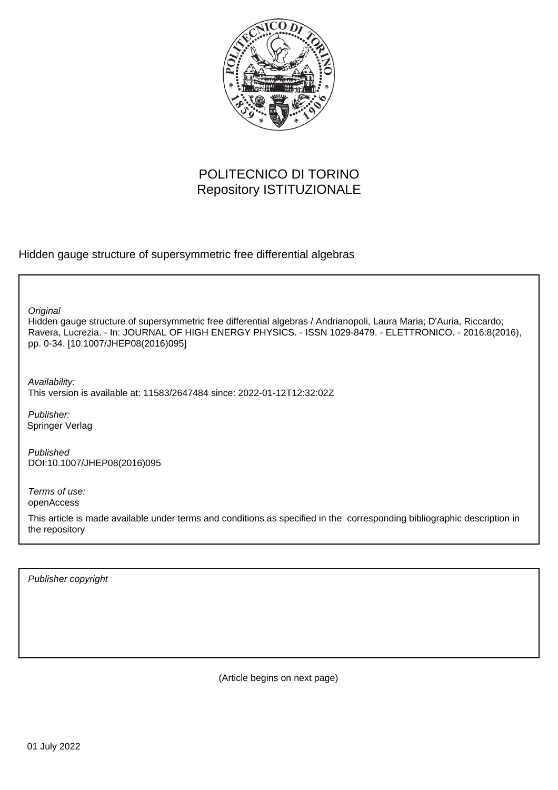

## POLITECNICO DI TORINO Repository ISTITUZIONALE

Hidden gauge structure of supersymmetric free differential algebras

**Original** 

Hidden gauge structure of supersymmetric free differential algebras / Andrianopoli, Laura Maria; D'Auria, Riccardo; Ravera, Lucrezia. - In: JOURNAL OF HIGH ENERGY PHYSICS. - ISSN 1029-8479. - ELETTRONICO. - 2016:8(2016), pp. 0-34. [10.1007/JHEP08(2016)095]

Availability: This version is available at: 11583/2647484 since: 2022-01-12T12:32:02Z

Publisher: Springer Verlag

Published DOI:10.1007/JHEP08(2016)095

Terms of use: openAccess

This article is made available under terms and conditions as specified in the corresponding bibliographic description in the repository

Publisher copyright

(Article begins on next page)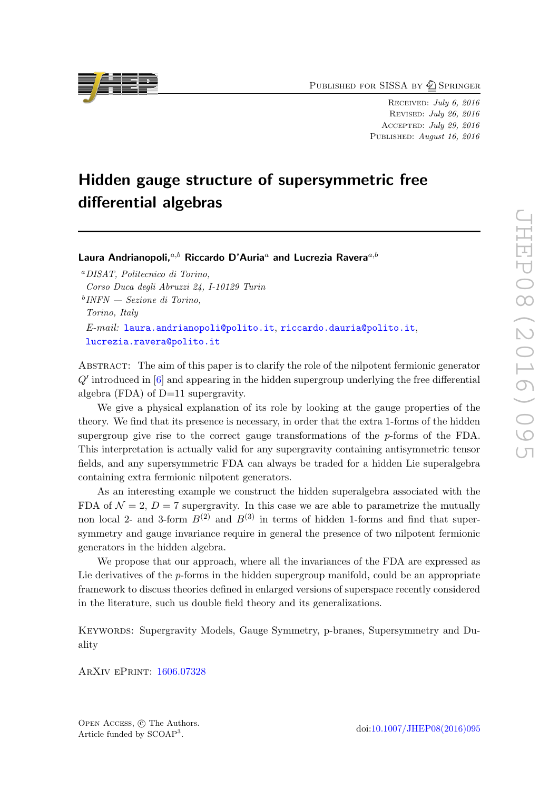PUBLISHED FOR SISSA BY 2 SPRINGER

Received: July 6, 2016 Revised: July 26, 2016 Accepted: July 29, 2016 PUBLISHED: August 16, 2016

# Hidden gauge structure of supersymmetric free differential algebras

Laura Andrianopoli, $a,b$  Riccardo D'Auria<sup>a</sup> and Lucrezia Ravera<sup> $a,b$ </sup>

<sup>a</sup>DISAT, Politecnico di Torino, Corso Duca degli Abruzzi 24, I-10129 Turin b INFN — Sezione di Torino, Torino, Italy E-mail: [laura.andrianopoli@polito.it](mailto:laura.andrianopoli@polito.it), [riccardo.dauria@polito.it](mailto:riccardo.dauria@polito.it), [lucrezia.ravera@polito.it](mailto:lucrezia.ravera@polito.it)

Abstract: The aim of this paper is to clarify the role of the nilpotent fermionic generator  $Q'$  introduced in  $[6]$  and appearing in the hidden supergroup underlying the free differential algebra (FDA) of D=11 supergravity.

We give a physical explanation of its role by looking at the gauge properties of the theory. We find that its presence is necessary, in order that the extra 1-forms of the hidden supergroup give rise to the correct gauge transformations of the p-forms of the FDA. This interpretation is actually valid for any supergravity containing antisymmetric tensor fields, and any supersymmetric FDA can always be traded for a hidden Lie superalgebra containing extra fermionic nilpotent generators.

As an interesting example we construct the hidden superalgebra associated with the FDA of  $\mathcal{N} = 2$ ,  $D = 7$  supergravity. In this case we are able to parametrize the mutually non local 2- and 3-form  $B^{(2)}$  and  $B^{(3)}$  in terms of hidden 1-forms and find that supersymmetry and gauge invariance require in general the presence of two nilpotent fermionic generators in the hidden algebra.

We propose that our approach, where all the invariances of the FDA are expressed as Lie derivatives of the  $p$ -forms in the hidden supergroup manifold, could be an appropriate framework to discuss theories defined in enlarged versions of superspace recently considered in the literature, such us double field theory and its generalizations.

Keywords: Supergravity Models, Gauge Symmetry, p-branes, Supersymmetry and Duality

ArXiv ePrint: [1606.07328](http://arxiv.org/abs/1606.07328)

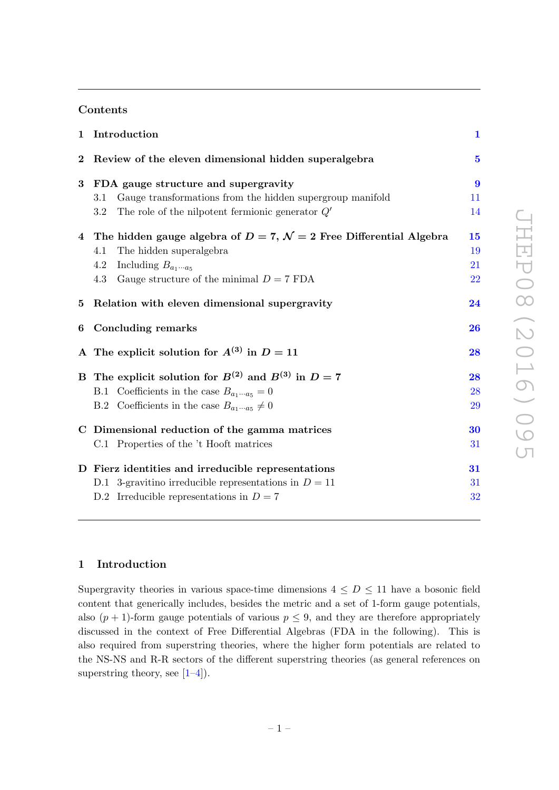#### Contents

| $\mathbf{1}$ | Introduction                                                                        | $\mathbf{1}$     |
|--------------|-------------------------------------------------------------------------------------|------------------|
| $\bf{2}$     | Review of the eleven dimensional hidden superalgebra                                | $\mathbf{5}$     |
| 3            | FDA gauge structure and supergravity                                                | $\boldsymbol{9}$ |
|              | Gauge transformations from the hidden supergroup manifold<br>3.1                    | 11               |
|              | The role of the nilpotent fermionic generator $Q'$<br>3.2                           | 14               |
|              | 4 The hidden gauge algebra of $D = 7$ , $\mathcal{N} = 2$ Free Differential Algebra | 15               |
|              | The hidden superalgebra<br>4.1                                                      | 19               |
|              | Including $B_{a_1 \cdots a_5}$<br>4.2                                               | 21               |
|              | Gauge structure of the minimal $D = 7$ FDA<br>4.3                                   | 22               |
| $5^{\circ}$  | Relation with eleven dimensional supergravity                                       | 24               |
| 6            | <b>Concluding remarks</b>                                                           | 26               |
|              | A The explicit solution for $A^{(3)}$ in $D = 11$                                   | 28               |
|              | B The explicit solution for $B^{(2)}$ and $B^{(3)}$ in $D=7$                        | 28               |
|              | B.1 Coefficients in the case $B_{a_1 \cdots a_5} = 0$                               | 28               |
|              | B.2 Coefficients in the case $B_{a_1 \cdots a_5} \neq 0$                            | 29               |
|              | C Dimensional reduction of the gamma matrices                                       | 30               |
|              | C.1 Properties of the 't Hooft matrices                                             | 31               |
|              | D Fierz identities and irreducible representations                                  | 31               |
|              | D.1 3-gravitino irreducible representations in $D = 11$                             | 31               |
|              | D.2 Irreducible representations in $D = 7$                                          | 32               |

## 1 Introduction

Supergravity theories in various space-time dimensions  $4 \leq D \leq 11$  have a bosonic field content that generically includes, besides the metric and a set of 1-form gauge potentials, also  $(p + 1)$ -form gauge potentials of various  $p \leq 9$ , and they are therefore appropriately discussed in the context of Free Differential Algebras (FDA in the following). This is also required from superstring theories, where the higher form potentials are related to the NS-NS and R-R sectors of the different superstring theories (as general references on superstring theory, see  $[1-4]$ .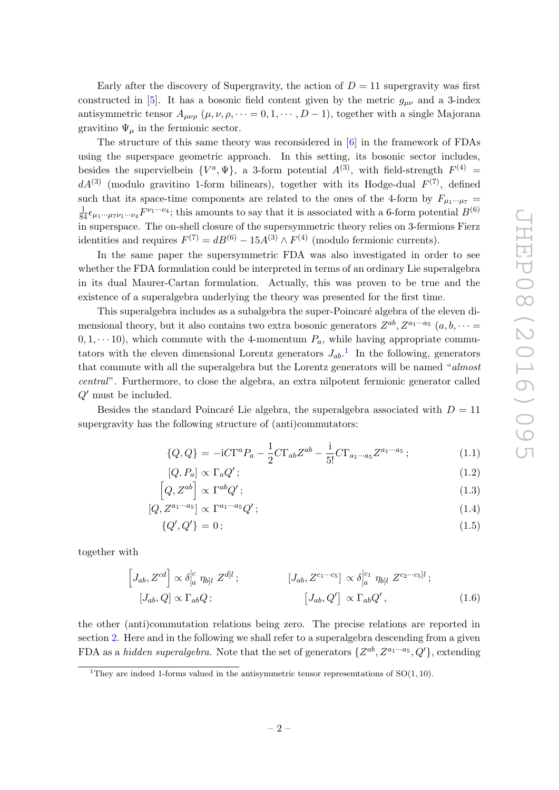Early after the discovery of Supergravity, the action of  $D = 11$  supergravity was first constructed in [5]. It has a bosonic field content given by the metric  $g_{\mu\nu}$  and a 3-index antisymmetric tensor  $A_{\mu\nu\rho}$   $(\mu, \nu, \rho, \dots = 0, 1, \dots, D-1)$ , together with a single Majorana gravitino  $\Psi_{\mu}$  in the fermionic sector.

The structure of this same theory was reconsidered in [6] in the framework of FDAs using the superspace geometric approach. In this setting, its bosonic sector includes, besides the supervielbein  $\{V^a, \Psi\}$ , a 3-form potential  $A^{(3)}$ , with field-strength  $F^{(4)}$  =  $dA^{(3)}$  (modulo gravitino 1-form bilinears), together with its Hodge-dual  $F^{(7)}$ , defined such that its space-time components are related to the ones of the 4-form by  $F_{\mu_1\cdots\mu_7}$  =  $\frac{1}{84}\epsilon_{\mu_1\cdots\mu_7\nu_1\cdots\nu_4}F^{\nu_1\cdots\nu_4}$ ; this amounts to say that it is associated with a 6-form potential  $B^{(6)}$ in superspace. The on-shell closure of the supersymmetric theory relies on 3-fermions Fierz identities and requires  $F^{(7)} = dB^{(6)} - 15A^{(3)} \wedge F^{(4)}$  (modulo fermionic currents).

In the same paper the supersymmetric FDA was also investigated in order to see whether the FDA formulation could be interpreted in terms of an ordinary Lie superalgebra in its dual Maurer-Cartan formulation. Actually, this was proven to be true and the existence of a superalgebra underlying the theory was presented for the first time.

This superalgebra includes as a subalgebra the super-Poincaré algebra of the eleven dimensional theory, but it also contains two extra bosonic generators  $Z^{ab}$ ,  $Z^{a_1 \cdots a_5}$   $(a, b, \cdots =$  $(0, 1, \dots, 10)$ , which commute with the 4-momentum  $P_a$ , while having appropriate commutators with the eleven dimensional Lorentz generators  $J_{ab}$ <sup>1</sup>. In the following, generators that commute with all the superalgebra but the Lorentz generators will be named "almost central". Furthermore, to close the algebra, an extra nilpotent fermionic generator called  $Q'$  must be included.

Besides the standard Poincaré Lie algebra, the superalgebra associated with  $D = 11$ supergravity has the following structure of (anti)commutators:

$$
\{Q, Q\} = -i C \Gamma^a P_a - \frac{1}{2} C \Gamma_{ab} Z^{ab} - \frac{i}{5!} C \Gamma_{a_1 \cdots a_5} Z^{a_1 \cdots a_5};
$$
\n(1.1)

$$
[Q, P_a] \propto \Gamma_a Q';\tag{1.2}
$$

$$
\left[Q, Z^{ab}\right] \propto \Gamma^{ab} Q';\tag{1.3}
$$

$$
[Q, Z^{a_1 \cdots a_5}] \propto \Gamma^{a_1 \cdots a_5} Q';\tag{1.4}
$$
\n
$$
[Q', Q'] = 0;
$$
\n
$$
(1.5)
$$

$$
\{Q', Q'\} = 0; \tag{1.5}
$$

together with

$$
\begin{aligned}\n\left[J_{ab}, Z^{cd}\right] &\propto \delta_{[a}^{[c} \eta_{b]l} Z^{dl}; & \left[J_{ab}, Z^{c_1 \cdots c_5}\right] &\propto \delta_{[a}^{[c_1} \eta_{b]l} Z^{c_2 \cdots c_5]l}; \\
\left[J_{ab}, Q\right] &\propto \Gamma_{ab} Q; & \left[J_{ab}, Q'\right] &\propto \Gamma_{ab} Q',\n\end{aligned} \tag{1.6}
$$

the other (anti)commutation relations being zero. The precise relations are reported in section 2. Here and in the following we shall refer to a superalgebra descending from a given FDA as a hidden superalgebra. Note that the set of generators  $\{Z^{ab}, Z^{a_1 \cdots a_5}, Q'\}$ , extending

<sup>&</sup>lt;sup>1</sup>They are indeed 1-forms valued in the antisymmetric tensor representations of  $SO(1, 10)$ .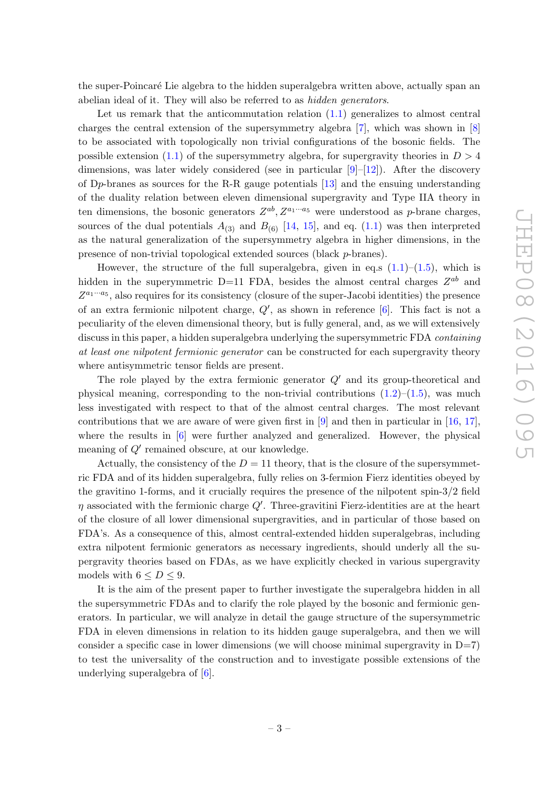the super-Poincaré Lie algebra to the hidden superalgebra written above, actually span an abelian ideal of it. They will also be referred to as hidden generators.

Let us remark that the anticommutation relation  $(1.1)$  generalizes to almost central charges the central extension of the supersymmetry algebra [7], which was shown in [8] to be associated with topologically non trivial configurations of the bosonic fields. The possible extension (1.1) of the supersymmetry algebra, for supergravity theories in  $D > 4$ dimensions, was later widely considered (see in particular  $[9]-[12]$ ). After the discovery of Dp-branes as sources for the R-R gauge potentials [13] and the ensuing understanding of the duality relation between eleven dimensional supergravity and Type IIA theory in ten dimensions, the bosonic generators  $Z^{ab}$ ,  $Z^{a_1 \cdots a_5}$  were understood as p-brane charges, sources of the dual potentials  $A_{(3)}$  and  $B_{(6)}$  [14, 15], and eq. (1.1) was then interpreted as the natural generalization of the supersymmetry algebra in higher dimensions, in the presence of non-trivial topological extended sources (black p-branes).

However, the structure of the full superalgebra, given in eq.s  $(1.1)$ – $(1.5)$ , which is hidden in the superymmetric D=11 FDA, besides the almost central charges  $Z^{ab}$  and  $Z^{a_1 \cdots a_5}$ , also requires for its consistency (closure of the super-Jacobi identities) the presence of an extra fermionic nilpotent charge,  $Q'$ , as shown in reference  $[6]$ . This fact is not a peculiarity of the eleven dimensional theory, but is fully general, and, as we will extensively discuss in this paper, a hidden superalgebra underlying the supersymmetric FDA *containing* at least one nilpotent fermionic generator can be constructed for each supergravity theory where antisymmetric tensor fields are present.

The role played by the extra fermionic generator  $Q'$  and its group-theoretical and physical meaning, corresponding to the non-trivial contributions  $(1.2)$ – $(1.5)$ , was much less investigated with respect to that of the almost central charges. The most relevant contributions that we are aware of were given first in [9] and then in particular in [16, 17], where the results in  $[6]$  were further analyzed and generalized. However, the physical meaning of  $Q'$  remained obscure, at our knowledge.

Actually, the consistency of the  $D = 11$  theory, that is the closure of the supersymmetric FDA and of its hidden superalgebra, fully relies on 3-fermion Fierz identities obeyed by the gravitino 1-forms, and it crucially requires the presence of the nilpotent spin-3/2 field  $\eta$  associated with the fermionic charge Q'. Three-gravitini Fierz-identities are at the heart of the closure of all lower dimensional supergravities, and in particular of those based on FDA's. As a consequence of this, almost central-extended hidden superalgebras, including extra nilpotent fermionic generators as necessary ingredients, should underly all the supergravity theories based on FDAs, as we have explicitly checked in various supergravity models with  $6 \le D \le 9$ .

It is the aim of the present paper to further investigate the superalgebra hidden in all the supersymmetric FDAs and to clarify the role played by the bosonic and fermionic generators. In particular, we will analyze in detail the gauge structure of the supersymmetric FDA in eleven dimensions in relation to its hidden gauge superalgebra, and then we will consider a specific case in lower dimensions (we will choose minimal supergravity in  $D=7$ ) to test the universality of the construction and to investigate possible extensions of the underlying superalgebra of [6].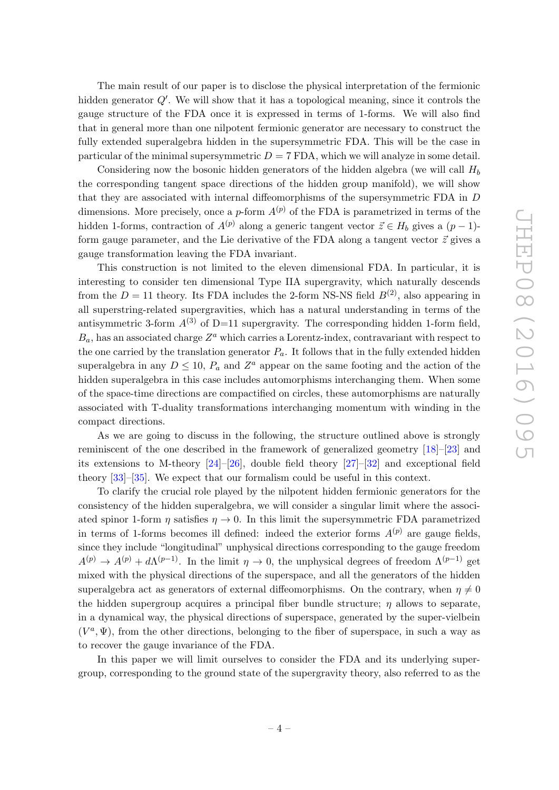The main result of our paper is to disclose the physical interpretation of the fermionic hidden generator  $Q'$ . We will show that it has a topological meaning, since it controls the gauge structure of the FDA once it is expressed in terms of 1-forms. We will also find that in general more than one nilpotent fermionic generator are necessary to construct the fully extended superalgebra hidden in the supersymmetric FDA. This will be the case in particular of the minimal supersymmetric  $D = 7$  FDA, which we will analyze in some detail.

Considering now the bosonic hidden generators of the hidden algebra (we will call  $H_b$ ) the corresponding tangent space directions of the hidden group manifold), we will show that they are associated with internal diffeomorphisms of the supersymmetric FDA in D dimensions. More precisely, once a p-form  $A^{(p)}$  of the FDA is parametrized in terms of the hidden 1-forms, contraction of  $A^{(p)}$  along a generic tangent vector  $\vec{z} \in H_b$  gives a  $(p-1)$ form gauge parameter, and the Lie derivative of the FDA along a tangent vector  $\vec{z}$  gives a gauge transformation leaving the FDA invariant.

This construction is not limited to the eleven dimensional FDA. In particular, it is interesting to consider ten dimensional Type IIA supergravity, which naturally descends from the  $D = 11$  theory. Its FDA includes the 2-form NS-NS field  $B^{(2)}$ , also appearing in all superstring-related supergravities, which has a natural understanding in terms of the antisymmetric 3-form  $A^{(3)}$  of D=11 supergravity. The corresponding hidden 1-form field,  $B_a$ , has an associated charge  $Z^a$  which carries a Lorentz-index, contravariant with respect to the one carried by the translation generator  $P_a$ . It follows that in the fully extended hidden superalgebra in any  $D \leq 10$ ,  $P_a$  and  $Z^a$  appear on the same footing and the action of the hidden superalgebra in this case includes automorphisms interchanging them. When some of the space-time directions are compactified on circles, these automorphisms are naturally associated with T-duality transformations interchanging momentum with winding in the compact directions.

As we are going to discuss in the following, the structure outlined above is strongly reminiscent of the one described in the framework of generalized geometry [18]–[23] and its extensions to M-theory  $[24]-[26]$ , double field theory  $[27]-[32]$  and exceptional field theory [33]–[35]. We expect that our formalism could be useful in this context.

To clarify the crucial role played by the nilpotent hidden fermionic generators for the consistency of the hidden superalgebra, we will consider a singular limit where the associated spinor 1-form  $\eta$  satisfies  $\eta \to 0$ . In this limit the supersymmetric FDA parametrized in terms of 1-forms becomes ill defined: indeed the exterior forms  $A^{(p)}$  are gauge fields, since they include "longitudinal" unphysical directions corresponding to the gauge freedom  $A^{(p)} \to A^{(p)} + d\Lambda^{(p-1)}$ . In the limit  $\eta \to 0$ , the unphysical degrees of freedom  $\Lambda^{(p-1)}$  get mixed with the physical directions of the superspace, and all the generators of the hidden superalgebra act as generators of external diffeomorphisms. On the contrary, when  $\eta \neq 0$ the hidden supergroup acquires a principal fiber bundle structure;  $\eta$  allows to separate, in a dynamical way, the physical directions of superspace, generated by the super-vielbein  $(V^a, \Psi)$ , from the other directions, belonging to the fiber of superspace, in such a way as to recover the gauge invariance of the FDA.

In this paper we will limit ourselves to consider the FDA and its underlying supergroup, corresponding to the ground state of the supergravity theory, also referred to as the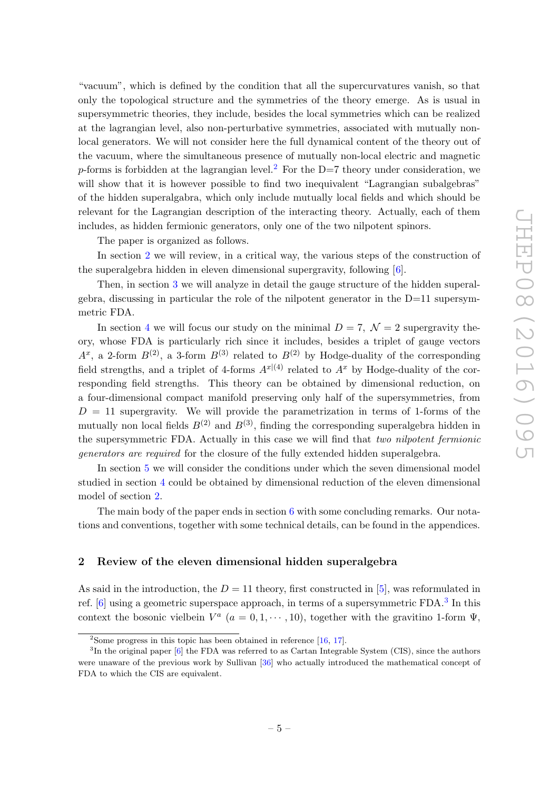"vacuum", which is defined by the condition that all the supercurvatures vanish, so that only the topological structure and the symmetries of the theory emerge. As is usual in supersymmetric theories, they include, besides the local symmetries which can be realized at the lagrangian level, also non-perturbative symmetries, associated with mutually nonlocal generators. We will not consider here the full dynamical content of the theory out of the vacuum, where the simultaneous presence of mutually non-local electric and magnetic p-forms is forbidden at the lagrangian level.<sup>2</sup> For the D=7 theory under consideration, we will show that it is however possible to find two inequivalent "Lagrangian subalgebras" of the hidden superalgabra, which only include mutually local fields and which should be relevant for the Lagrangian description of the interacting theory. Actually, each of them includes, as hidden fermionic generators, only one of the two nilpotent spinors.

The paper is organized as follows.

In section 2 we will review, in a critical way, the various steps of the construction of the superalgebra hidden in eleven dimensional supergravity, following [6].

Then, in section 3 we will analyze in detail the gauge structure of the hidden superalgebra, discussing in particular the role of the nilpotent generator in the D=11 supersymmetric FDA.

In section 4 we will focus our study on the minimal  $D = 7$ ,  $\mathcal{N} = 2$  supergravity theory, whose FDA is particularly rich since it includes, besides a triplet of gauge vectors  $A^x$ , a 2-form  $B^{(2)}$ , a 3-form  $B^{(3)}$  related to  $B^{(2)}$  by Hodge-duality of the corresponding field strengths, and a triplet of 4-forms  $A^{x|(4)}$  related to  $A^x$  by Hodge-duality of the corresponding field strengths. This theory can be obtained by dimensional reduction, on a four-dimensional compact manifold preserving only half of the supersymmetries, from  $D = 11$  supergravity. We will provide the parametrization in terms of 1-forms of the mutually non local fields  $B^{(2)}$  and  $B^{(3)}$ , finding the corresponding superalgebra hidden in the supersymmetric FDA. Actually in this case we will find that two nilpotent fermionic generators are required for the closure of the fully extended hidden superalgebra.

In section 5 we will consider the conditions under which the seven dimensional model studied in section 4 could be obtained by dimensional reduction of the eleven dimensional model of section 2.

The main body of the paper ends in section 6 with some concluding remarks. Our notations and conventions, together with some technical details, can be found in the appendices.

#### 2 Review of the eleven dimensional hidden superalgebra

As said in the introduction, the  $D = 11$  theory, first constructed in [5], was reformulated in ref. [6] using a geometric superspace approach, in terms of a supersymmetric FDA.<sup>3</sup> In this context the bosonic vielbein  $V^a$  ( $a = 0, 1, \dots, 10$ ), together with the gravitino 1-form  $\Psi$ ,

<sup>&</sup>lt;sup>2</sup>Some progress in this topic has been obtained in reference  $[16, 17]$ .

<sup>&</sup>lt;sup>3</sup>In the original paper [6] the FDA was referred to as Cartan Integrable System (CIS), since the authors were unaware of the previous work by Sullivan [36] who actually introduced the mathematical concept of FDA to which the CIS are equivalent.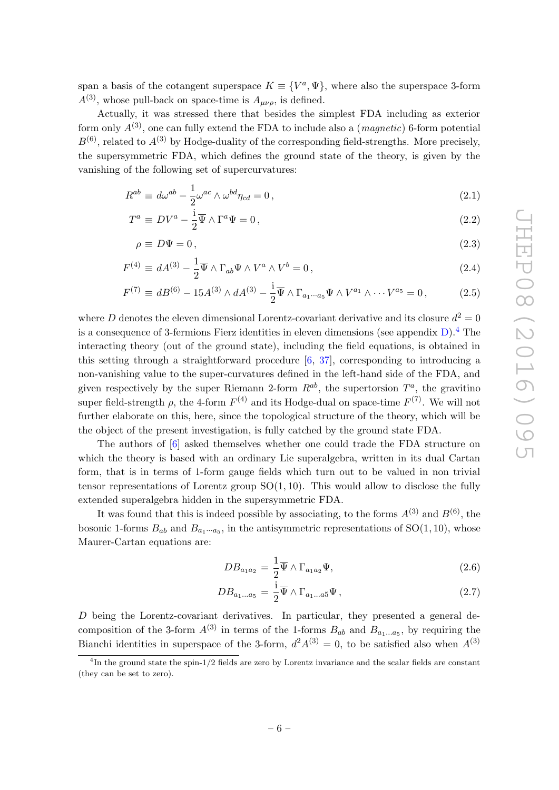span a basis of the cotangent superspace  $K = \{V^a, \Psi\}$ , where also the superspace 3-form  $A^{(3)}$ , whose pull-back on space-time is  $A_{\mu\nu\rho}$ , is defined.

Actually, it was stressed there that besides the simplest FDA including as exterior form only  $A^{(3)}$ , one can fully extend the FDA to include also a (*magnetic*) 6-form potential  $B^{(6)}$ , related to  $A^{(3)}$  by Hodge-duality of the corresponding field-strengths. More precisely, the supersymmetric FDA, which defines the ground state of the theory, is given by the vanishing of the following set of supercurvatures:

$$
R^{ab} \equiv d\omega^{ab} - \frac{1}{2}\omega^{ac} \wedge \omega^{bd}\eta_{cd} = 0, \qquad (2.1)
$$

$$
T^a \equiv DV^a - \frac{1}{2}\overline{\Psi} \wedge \Gamma^a \Psi = 0, \qquad (2.2)
$$

$$
\rho \equiv D\Psi = 0, \tag{2.3}
$$

$$
F^{(4)} \equiv dA^{(3)} - \frac{1}{2}\overline{\Psi} \wedge \Gamma_{ab}\Psi \wedge V^a \wedge V^b = 0, \qquad (2.4)
$$

$$
F^{(7)} \equiv dB^{(6)} - 15A^{(3)} \wedge dA^{(3)} - \frac{1}{2}\overline{\Psi} \wedge \Gamma_{a_1 \cdots a_5} \Psi \wedge V^{a_1} \wedge \cdots V^{a_5} = 0, \qquad (2.5)
$$

where D denotes the eleven dimensional Lorentz-covariant derivative and its closure  $d^2 = 0$ is a consequence of 3-fermions Fierz identities in eleven dimensions (see appendix  $D$ ).<sup>4</sup> The interacting theory (out of the ground state), including the field equations, is obtained in this setting through a straightforward procedure [6, 37], corresponding to introducing a non-vanishing value to the super-curvatures defined in the left-hand side of the FDA, and given respectively by the super Riemann 2-form  $R^{ab}$ , the supertorsion  $T^a$ , the gravitino super field-strength  $\rho$ , the 4-form  $F^{(4)}$  and its Hodge-dual on space-time  $F^{(7)}$ . We will not further elaborate on this, here, since the topological structure of the theory, which will be the object of the present investigation, is fully catched by the ground state FDA.

The authors of [6] asked themselves whether one could trade the FDA structure on which the theory is based with an ordinary Lie superalgebra, written in its dual Cartan form, that is in terms of 1-form gauge fields which turn out to be valued in non trivial tensor representations of Lorentz group  $SO(1,10)$ . This would allow to disclose the fully extended superalgebra hidden in the supersymmetric FDA.

It was found that this is indeed possible by associating, to the forms  $A^{(3)}$  and  $B^{(6)}$ , the bosonic 1-forms  $B_{ab}$  and  $B_{a_1\cdots a_5}$ , in the antisymmetric representations of  $SO(1, 10)$ , whose Maurer-Cartan equations are:

$$
DB_{a_1 a_2} = \frac{1}{2} \overline{\Psi} \wedge \Gamma_{a_1 a_2} \Psi,
$$
\n(2.6)

$$
DB_{a_1...a_5} = \frac{1}{2}\overline{\Psi} \wedge \Gamma_{a_1...a_5}\Psi, \qquad (2.7)
$$

D being the Lorentz-covariant derivatives. In particular, they presented a general decomposition of the 3-form  $A^{(3)}$  in terms of the 1-forms  $B_{ab}$  and  $B_{a_1...a_5}$ , by requiring the Bianchi identities in superspace of the 3-form,  $d^2A^{(3)} = 0$ , to be satisfied also when  $A^{(3)}$ 

<sup>&</sup>lt;sup>4</sup>In the ground state the spin-1/2 fields are zero by Lorentz invariance and the scalar fields are constant (they can be set to zero).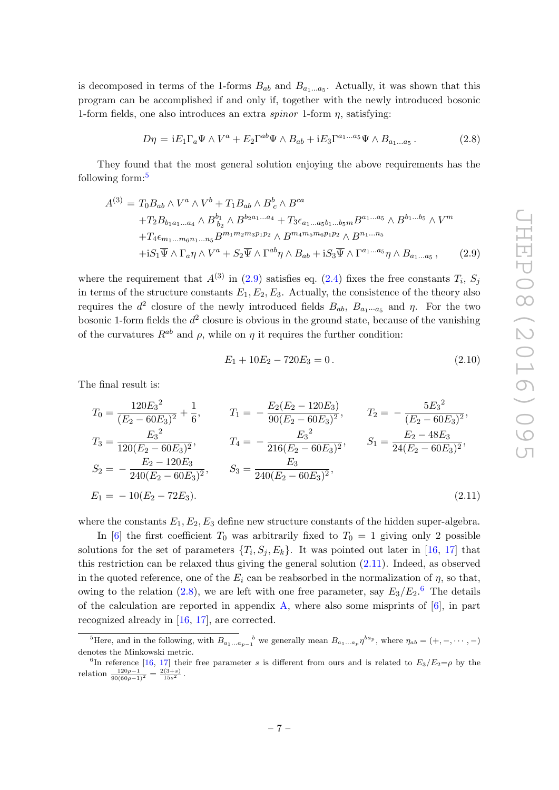is decomposed in terms of the 1-forms  $B_{ab}$  and  $B_{a_1...a_5}$ . Actually, it was shown that this program can be accomplished if and only if, together with the newly introduced bosonic 1-form fields, one also introduces an extra *spinor* 1-form  $\eta$ , satisfying:

$$
D\eta = iE_1\Gamma_a\Psi \wedge V^a + E_2\Gamma^{ab}\Psi \wedge B_{ab} + iE_3\Gamma^{a_1...a_5}\Psi \wedge B_{a_1...a_5}.
$$
 (2.8)

They found that the most general solution enjoying the above requirements has the following form:<sup>5</sup>

$$
A^{(3)} = T_0 B_{ab} \wedge V^a \wedge V^b + T_1 B_{ab} \wedge B^b{}_c \wedge B^{ca}
$$
  
+
$$
T_2 B_{b_1 a_1 \dots a_4} \wedge B^{b_1}_{b_2} \wedge B^{b_2 a_1 \dots a_4} + T_3 \epsilon_{a_1 \dots a_5 b_1 \dots b_5 m} B^{a_1 \dots a_5} \wedge B^{b_1 \dots b_5} \wedge V^m
$$
  
+
$$
T_4 \epsilon_{m_1 \dots m_6 n_1 \dots n_5} B^{m_1 m_2 m_3 p_1 p_2} \wedge B^{m_4 m_5 m_6 p_1 p_2} \wedge B^{n_1 \dots n_5}
$$
  
+
$$
i S_1 \overline{\Psi} \wedge \Gamma_a \eta \wedge V^a + S_2 \overline{\Psi} \wedge \Gamma^{ab} \eta \wedge B_{ab} + i S_3 \overline{\Psi} \wedge \Gamma^{a_1 \dots a_5} \eta \wedge B_{a_1 \dots a_5} , \qquad (2.9)
$$

where the requirement that  $A^{(3)}$  in (2.9) satisfies eq. (2.4) fixes the free constants  $T_i$ ,  $S_j$ in terms of the structure constants  $E_1, E_2, E_3$ . Actually, the consistence of the theory also requires the  $d^2$  closure of the newly introduced fields  $B_{ab}$ ,  $B_{a_1 \cdots a_5}$  and  $\eta$ . For the two bosonic 1-form fields the  $d^2$  closure is obvious in the ground state, because of the vanishing of the curvatures  $R^{ab}$  and  $\rho$ , while on  $\eta$  it requires the further condition:

$$
E_1 + 10E_2 - 720E_3 = 0. \t\t(2.10)
$$

The final result is:

$$
T_0 = \frac{120E_3^2}{(E_2 - 60E_3)^2} + \frac{1}{6}, \qquad T_1 = -\frac{E_2(E_2 - 120E_3)}{90(E_2 - 60E_3)^2}, \qquad T_2 = -\frac{5E_3^2}{(E_2 - 60E_3)^2},
$$
  
\n
$$
T_3 = \frac{E_3^2}{120(E_2 - 60E_3)^2}, \qquad T_4 = -\frac{E_3^2}{216(E_2 - 60E_3)^2}, \qquad S_1 = \frac{E_2 - 48E_3}{24(E_2 - 60E_3)^2},
$$
  
\n
$$
S_2 = -\frac{E_2 - 120E_3}{240(E_2 - 60E_3)^2}, \qquad S_3 = \frac{E_3}{240(E_2 - 60E_3)^2},
$$
  
\n
$$
E_1 = -10(E_2 - 72E_3).
$$
\n(2.11)

where the constants  $E_1, E_2, E_3$  define new structure constants of the hidden super-algebra.

In [6] the first coefficient  $T_0$  was arbitrarily fixed to  $T_0 = 1$  giving only 2 possible solutions for the set of parameters  $\{T_i, S_j, E_k\}$ . It was pointed out later in [16, 17] that this restriction can be relaxed thus giving the general solution (2.11). Indeed, as observed in the quoted reference, one of the  $E_i$  can be reabsorbed in the normalization of  $\eta$ , so that, owing to the relation (2.8), we are left with one free parameter, say  $E_3/E_2$ .<sup>6</sup> The details of the calculation are reported in appendix  $\bf{A}$ , where also some misprints of [6], in part recognized already in [16, 17], are corrected.

<sup>&</sup>lt;sup>5</sup>Here, and in the following, with  $B_{a_1...a_{p-1}}^{\qquad b}$  we generally mean  $B_{a_1...a_p}\eta^{ba_p}$ , where  $\eta_{ab} = (+,-,\cdots,-)$ denotes the Minkowski metric.

<sup>&</sup>lt;sup>6</sup>In reference [16, 17] their free parameter s is different from ours and is related to  $E_3/E_2 = \rho$  by the relation  $\frac{120\rho-1}{90(60\rho-1)^2} = \frac{2(3+s)}{15s^2}$ .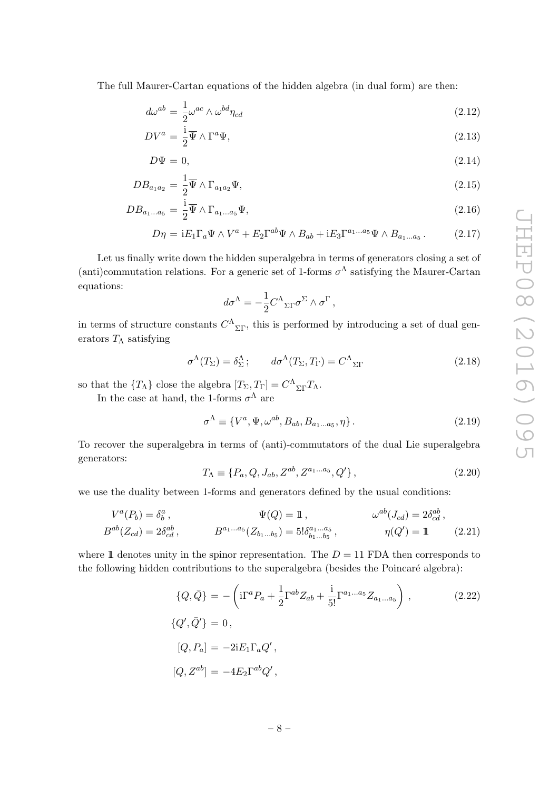The full Maurer-Cartan equations of the hidden algebra (in dual form) are then:

$$
d\omega^{ab} = \frac{1}{2}\omega^{ac} \wedge \omega^{bd}\eta_{cd} \tag{2.12}
$$

$$
DV^a = \frac{1}{2}\overline{\Psi} \wedge \Gamma^a \Psi,
$$
\n(2.13)

$$
D\Psi = 0,\t\t(2.14)
$$

$$
DB_{a_1 a_2} = \frac{1}{2} \overline{\Psi} \wedge \Gamma_{a_1 a_2} \Psi,
$$
\n(2.15)

$$
DB_{a_1...a_5} = \frac{1}{2}\overline{\Psi} \wedge \Gamma_{a_1...a_5}\Psi,
$$
\n(2.16)

$$
D\eta = iE_1\Gamma_a\Psi \wedge V^a + E_2\Gamma^{ab}\Psi \wedge B_{ab} + iE_3\Gamma^{a_1...a_5}\Psi \wedge B_{a_1...a_5}.
$$
 (2.17)

Let us finally write down the hidden superalgebra in terms of generators closing a set of (anti)commutation relations. For a generic set of 1-forms  $\sigma^{\Lambda}$  satisfying the Maurer-Cartan equations:

$$
d\sigma^{\Lambda} = -\frac{1}{2}C^{\Lambda}{}_{\Sigma\Gamma}\sigma^{\Sigma} \wedge \sigma^{\Gamma} ,
$$

in terms of structure constants  $C^{\Lambda}{}_{\Sigma\Gamma}$ , this is performed by introducing a set of dual generators  $T_\Lambda$  satisfying

$$
\sigma^{\Lambda}(T_{\Sigma}) = \delta^{\Lambda}_{\Sigma}; \qquad d\sigma^{\Lambda}(T_{\Sigma}, T_{\Gamma}) = C^{\Lambda}_{\Sigma\Gamma} \qquad (2.18)
$$

so that the  $\{T_{\Lambda}\}\)$  close the algebra  $[T_{\Sigma}, T_{\Gamma}] = C^{\Lambda}_{\Sigma \Gamma} T_{\Lambda}$ .

In the case at hand, the 1-forms  $\sigma^{\Lambda}$  are

$$
\sigma^{\Lambda} \equiv \{V^a, \Psi, \omega^{ab}, B_{ab}, B_{a_1 \dots a_5}, \eta\}.
$$
\n
$$
(2.19)
$$

To recover the superalgebra in terms of (anti)-commutators of the dual Lie superalgebra generators:

$$
T_{\Lambda} \equiv \{P_a, Q, J_{ab}, Z^{ab}, Z^{a_1...a_5}, Q'\}, \qquad (2.20)
$$

we use the duality between 1-forms and generators defined by the usual conditions:

$$
V^{a}(P_{b}) = \delta_{b}^{a}, \qquad \Psi(Q) = 1, \qquad \omega^{ab}(J_{cd}) = 2\delta_{cd}^{ab},
$$
  
\n
$$
B^{ab}(Z_{cd}) = 2\delta_{cd}^{ab}, \qquad B^{a_{1}...a_{5}}(Z_{b_{1}...b_{5}}) = 5!\delta_{b_{1}...b_{5}}^{a_{1}...a_{5}}, \qquad \eta(Q') = 1 \qquad (2.21)
$$

where 1 denotes unity in the spinor representation. The  $D = 11$  FDA then corresponds to the following hidden contributions to the superalgebra (besides the Poincaré algebra):

$$
\{Q,\bar{Q}\} = -\left(\mathrm{i}\Gamma^{a}P_{a} + \frac{1}{2}\Gamma^{ab}Z_{ab} + \frac{\mathrm{i}}{5!}\Gamma^{a_{1}...a_{5}}Z_{a_{1}...a_{5}}\right),\tag{2.22}
$$
  

$$
\{Q',\bar{Q}'\} = 0,
$$

$$
[Q, P_a] = -2iE_1\Gamma_a Q',
$$
  

$$
[Q, Z^{ab}] = -4E_2\Gamma^{ab}Q',
$$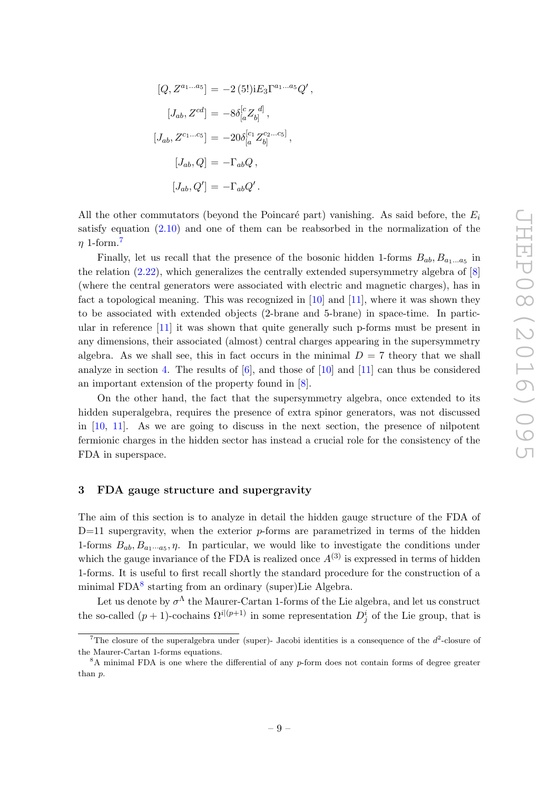$$
[Q, Z^{a_1...a_5}] = -2 (5!)iE_3\Gamma^{a_1...a_5}Q',
$$
  
\n
$$
[J_{ab}, Z^{cd}] = -8\delta_{[a}^{[c}Z_{b]}^{d]},
$$
  
\n
$$
[J_{ab}, Z^{c_1...c_5}] = -20\delta_{[a}^{[c_1}Z_{b]}^{c_2...c_5]},
$$
  
\n
$$
[J_{ab}, Q] = -\Gamma_{ab}Q,
$$
  
\n
$$
[J_{ab}, Q'] = -\Gamma_{ab}Q'.
$$

All the other commutators (beyond the Poincaré part) vanishing. As said before, the  $E_i$ satisfy equation (2.10) and one of them can be reabsorbed in the normalization of the  $n 1$ -form.<sup>7</sup>

Finally, let us recall that the presence of the bosonic hidden 1-forms  $B_{ab}$ ,  $B_{a_1...a_5}$  in the relation  $(2.22)$ , which generalizes the centrally extended supersymmetry algebra of  $[8]$ (where the central generators were associated with electric and magnetic charges), has in fact a topological meaning. This was recognized in  $[10]$  and  $[11]$ , where it was shown they to be associated with extended objects (2-brane and 5-brane) in space-time. In particular in reference [11] it was shown that quite generally such p-forms must be present in any dimensions, their associated (almost) central charges appearing in the supersymmetry algebra. As we shall see, this in fact occurs in the minimal  $D = 7$  theory that we shall analyze in section 4. The results of  $[6]$ , and those of  $[10]$  and  $[11]$  can thus be considered an important extension of the property found in [8].

On the other hand, the fact that the supersymmetry algebra, once extended to its hidden superalgebra, requires the presence of extra spinor generators, was not discussed in [10, 11]. As we are going to discuss in the next section, the presence of nilpotent fermionic charges in the hidden sector has instead a crucial role for the consistency of the FDA in superspace.

#### 3 FDA gauge structure and supergravity

The aim of this section is to analyze in detail the hidden gauge structure of the FDA of  $D=11$  supergravity, when the exterior p-forms are parametrized in terms of the hidden 1-forms  $B_{ab}, B_{a_1 \cdots a_5}, \eta$ . In particular, we would like to investigate the conditions under which the gauge invariance of the FDA is realized once  $A^{(3)}$  is expressed in terms of hidden 1-forms. It is useful to first recall shortly the standard procedure for the construction of a minimal FDA<sup>8</sup> starting from an ordinary (super)Lie Algebra.

Let us denote by  $\sigma^{\Lambda}$  the Maurer-Cartan 1-forms of the Lie algebra, and let us construct the so-called  $(p+1)$ -cochains  $\Omega^{i(p+1)}$  in some representation  $D_j^i$  of the Lie group, that is

The closure of the superalgebra under (super)- Jacobi identities is a consequence of the  $d^2$ -closure of the Maurer-Cartan 1-forms equations.

 ${}^{8}$ A minimal FDA is one where the differential of any p-form does not contain forms of degree greater than p.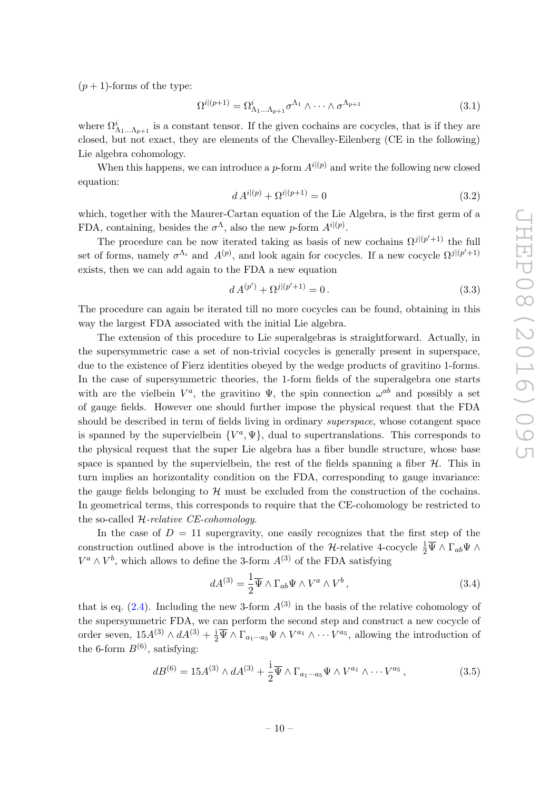$(p+1)$ -forms of the type:

$$
\Omega^{i|(p+1)} = \Omega^i_{\Lambda_1 \dots \Lambda_{p+1}} \sigma^{\Lambda_1} \wedge \dots \wedge \sigma^{\Lambda_{p+1}} \tag{3.1}
$$

where  $\Omega^i_{\Lambda_1...\Lambda_{p+1}}$  is a constant tensor. If the given cochains are cocycles, that is if they are closed, but not exact, they are elements of the Chevalley-Eilenberg (CE in the following) Lie algebra cohomology.

When this happens, we can introduce a p-form  $A^{i(p)}$  and write the following new closed equation:

$$
d A^{i|(p)} + \Omega^{i|(p+1)} = 0 \tag{3.2}
$$

which, together with the Maurer-Cartan equation of the Lie Algebra, is the first germ of a FDA, containing, besides the  $\sigma^{\Lambda}$ , also the new p-form  $A^{i|(p)}$ .

The procedure can be now iterated taking as basis of new cochains  $\Omega^{j|(p'+1)}$  the full set of forms, namely  $\sigma^{\Lambda_i}$  and  $A^{(p)}$ , and look again for cocycles. If a new cocycle  $\Omega^{j|(p'+1)}$ exists, then we can add again to the FDA a new equation

$$
d A^{(p')} + \Omega^{j|(p'+1)} = 0.
$$
\n(3.3)

The procedure can again be iterated till no more cocycles can be found, obtaining in this way the largest FDA associated with the initial Lie algebra.

The extension of this procedure to Lie superalgebras is straightforward. Actually, in the supersymmetric case a set of non-trivial cocycles is generally present in superspace, due to the existence of Fierz identities obeyed by the wedge products of gravitino 1-forms. In the case of supersymmetric theories, the 1-form fields of the superalgebra one starts with are the vielbein  $V^a$ , the gravitino  $\Psi$ , the spin connection  $\omega^{ab}$  and possibly a set of gauge fields. However one should further impose the physical request that the FDA should be described in term of fields living in ordinary superspace, whose cotangent space is spanned by the supervielbein  $\{V^a, \Psi\}$ , dual to supertranslations. This corresponds to the physical request that the super Lie algebra has a fiber bundle structure, whose base space is spanned by the supervielbein, the rest of the fields spanning a fiber  $H$ . This in turn implies an horizontality condition on the FDA, corresponding to gauge invariance: the gauge fields belonging to  $\mathcal{H}$  must be excluded from the construction of the cochains. In geometrical terms, this corresponds to require that the CE-cohomology be restricted to the so-called H-relative CE-cohomology.

In the case of  $D = 11$  supergravity, one easily recognizes that the first step of the construction outlined above is the introduction of the H-relative 4-cocycle  $\frac{1}{2}\overline{\Psi} \wedge \Gamma_{ab}\Psi \wedge$  $V^a \wedge V^b$ , which allows to define the 3-form  $A^{(3)}$  of the FDA satisfying

$$
dA^{(3)} = \frac{1}{2}\overline{\Psi} \wedge \Gamma_{ab}\Psi \wedge V^a \wedge V^b, \qquad (3.4)
$$

that is eq.  $(2.4)$ . Including the new 3-form  $A^{(3)}$  in the basis of the relative cohomology of the supersymmetric FDA, we can perform the second step and construct a new cocycle of order seven,  $15A^{(3)} \wedge dA^{(3)} + \frac{1}{2}\overline{\Psi} \wedge \Gamma_{a_1\cdots a_5}\Psi \wedge V^{a_1} \wedge \cdots V^{a_5}$ , allowing the introduction of the 6-form  $B^{(6)}$ , satisfying:

$$
dB^{(6)} = 15A^{(3)} \wedge dA^{(3)} + \frac{1}{2}\overline{\Psi} \wedge \Gamma_{a_1 \cdots a_5} \Psi \wedge V^{a_1} \wedge \cdots V^{a_5}, \qquad (3.5)
$$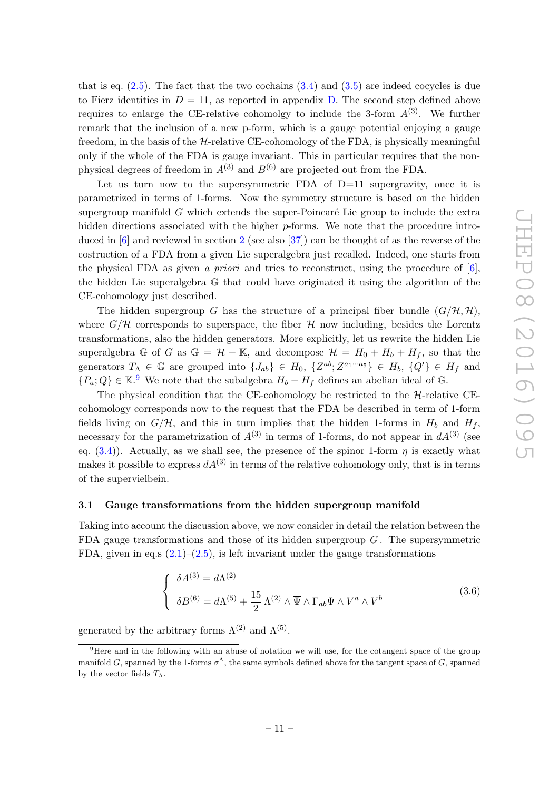that is eq.  $(2.5)$ . The fact that the two cochains  $(3.4)$  and  $(3.5)$  are indeed cocycles is due to Fierz identities in  $D = 11$ , as reported in appendix D. The second step defined above requires to enlarge the CE-relative cohomolgy to include the 3-form  $A^{(3)}$ . We further remark that the inclusion of a new p-form, which is a gauge potential enjoying a gauge freedom, in the basis of the  $H$ -relative CE-cohomology of the FDA, is physically meaningful only if the whole of the FDA is gauge invariant. This in particular requires that the nonphysical degrees of freedom in  $A^{(3)}$  and  $B^{(6)}$  are projected out from the FDA.

Let us turn now to the supersymmetric FDA of  $D=11$  supergravity, once it is parametrized in terms of 1-forms. Now the symmetry structure is based on the hidden supergroup manifold  $G$  which extends the super-Poincaré Lie group to include the extra hidden directions associated with the higher p-forms. We note that the procedure introduced in [6] and reviewed in section 2 (see also [37]) can be thought of as the reverse of the costruction of a FDA from a given Lie superalgebra just recalled. Indeed, one starts from the physical FDA as given a priori and tries to reconstruct, using the procedure of  $[6]$ , the hidden Lie superalgebra G that could have originated it using the algorithm of the CE-cohomology just described.

The hidden supergroup G has the structure of a principal fiber bundle  $(G/H, H)$ , where  $G/H$  corresponds to superspace, the fiber H now including, besides the Lorentz transformations, also the hidden generators. More explicitly, let us rewrite the hidden Lie superalgebra G of G as  $\mathbb{G} = \mathcal{H} + \mathbb{K}$ , and decompose  $\mathcal{H} = H_0 + H_b + H_f$ , so that the generators  $T_{\Lambda} \in \mathbb{G}$  are grouped into  $\{J_{ab}\}\in H_0$ ,  $\{Z^{ab}; Z^{a_1\cdots a_5}\}\in H_b$ ,  $\{Q'\}\in H_f$  and  ${P_a; Q} \in \mathbb{K}^9$  We note that the subalgebra  $H_b + H_f$  defines an abelian ideal of G.

The physical condition that the CE-cohomology be restricted to the  $H$ -relative CEcohomology corresponds now to the request that the FDA be described in term of 1-form fields living on  $G/H$ , and this in turn implies that the hidden 1-forms in  $H_b$  and  $H_f$ , necessary for the parametrization of  $A^{(3)}$  in terms of 1-forms, do not appear in  $dA^{(3)}$  (see eq.  $(3.4)$ ). Actually, as we shall see, the presence of the spinor 1-form  $\eta$  is exactly what makes it possible to express  $dA^{(3)}$  in terms of the relative cohomology only, that is in terms of the supervielbein.

#### 3.1 Gauge transformations from the hidden supergroup manifold

Taking into account the discussion above, we now consider in detail the relation between the FDA gauge transformations and those of its hidden supergroup  $G$ . The supersymmetric FDA, given in eq.s  $(2.1)$ – $(2.5)$ , is left invariant under the gauge transformations

$$
\begin{cases}\n\delta A^{(3)} = d\Lambda^{(2)} \\
\delta B^{(6)} = d\Lambda^{(5)} + \frac{15}{2} \Lambda^{(2)} \wedge \overline{\Psi} \wedge \Gamma_{ab} \Psi \wedge V^a \wedge V^b\n\end{cases} (3.6)
$$

generated by the arbitrary forms  $\Lambda^{(2)}$  and  $\Lambda^{(5)}$ .

 $9^9$ Here and in the following with an abuse of notation we will use, for the cotangent space of the group manifold G, spanned by the 1-forms  $\sigma^{\Lambda}$ , the same symbols defined above for the tangent space of G, spanned by the vector fields  $T_{\Lambda}$ .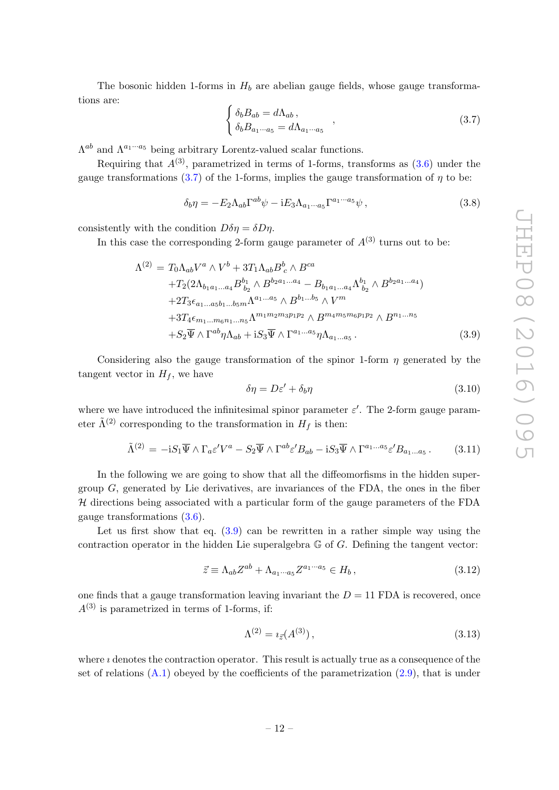The bosonic hidden 1-forms in  $H_b$  are abelian gauge fields, whose gauge transformations are:

$$
\begin{cases}\n\delta_b B_{ab} = d\Lambda_{ab} ,\\ \n\delta_b B_{a_1 \cdots a_5} = d\Lambda_{a_1 \cdots a_5}\n\end{cases},
$$
\n(3.7)

 $\Lambda^{ab}$  and  $\Lambda^{a_1 \cdots a_5}$  being arbitrary Lorentz-valued scalar functions.

Requiring that  $A^{(3)}$ , parametrized in terms of 1-forms, transforms as  $(3.6)$  under the gauge transformations (3.7) of the 1-forms, implies the gauge transformation of  $\eta$  to be:

$$
\delta_b \eta = -E_2 \Lambda_{ab} \Gamma^{ab} \psi - iE_3 \Lambda_{a_1 \cdots a_5} \Gamma^{a_1 \cdots a_5} \psi , \qquad (3.8)
$$

consistently with the condition  $D\delta\eta = \delta D\eta$ .

In this case the corresponding 2-form gauge parameter of  $A^{(3)}$  turns out to be:

$$
\Lambda^{(2)} = T_0 \Lambda_{ab} V^a \wedge V^b + 3T_1 \Lambda_{ab} B^b{}_c \wedge B^{ca}
$$
  
+
$$
T_2 (2\Lambda_{b_1 a_1 \dots a_4} B^{b_1}_{b_2} \wedge B^{b_2 a_1 \dots a_4} - B_{b_1 a_1 \dots a_4} \Lambda^{b_1}_{b_2} \wedge B^{b_2 a_1 \dots a_4})
$$
  
+
$$
2T_3 \epsilon_{a_1 \dots a_5 b_1 \dots b_5 m} \Lambda^{a_1 \dots a_5} \wedge B^{b_1 \dots b_5} \wedge V^m
$$
  
+
$$
3T_4 \epsilon_{m_1 \dots m_6 n_1 \dots n_5} \Lambda^{m_1 m_2 m_3 p_1 p_2} \wedge B^{m_4 m_5 m_6 p_1 p_2} \wedge B^{n_1 \dots n_5}
$$
  
+
$$
S_2 \overline{\Psi} \wedge \Gamma^{ab} \eta \Lambda_{ab} + i S_3 \overline{\Psi} \wedge \Gamma^{a_1 \dots a_5} \eta \Lambda_{a_1 \dots a_5} .
$$
(3.9)

Considering also the gauge transformation of the spinor 1-form  $\eta$  generated by the tangent vector in  $H_f$ , we have

$$
\delta \eta = D \varepsilon' + \delta_b \eta \tag{3.10}
$$

where we have introduced the infinitesimal spinor parameter  $\varepsilon'$ . The 2-form gauge parameter  $\tilde{\Lambda}^{(2)}$  corresponding to the transformation in  $H_f$  is then:

$$
\tilde{\Lambda}^{(2)} = -i S_1 \overline{\Psi} \wedge \Gamma_a \varepsilon' V^a - S_2 \overline{\Psi} \wedge \Gamma^{ab} \varepsilon' B_{ab} - i S_3 \overline{\Psi} \wedge \Gamma^{a_1 \dots a_5} \varepsilon' B_{a_1 \dots a_5} \,. \tag{3.11}
$$

In the following we are going to show that all the diffeomorfisms in the hidden supergroup  $G$ , generated by Lie derivatives, are invariances of the FDA, the ones in the fiber  $H$  directions being associated with a particular form of the gauge parameters of the FDA gauge transformations (3.6).

Let us first show that eq.  $(3.9)$  can be rewritten in a rather simple way using the contraction operator in the hidden Lie superalgebra  $\mathbb G$  of  $G$ . Defining the tangent vector:

$$
\vec{z} \equiv \Lambda_{ab} Z^{ab} + \Lambda_{a_1 \cdots a_5} Z^{a_1 \cdots a_5} \in H_b, \qquad (3.12)
$$

one finds that a gauge transformation leaving invariant the  $D = 11$  FDA is recovered, once  $A^{(3)}$  is parametrized in terms of 1-forms, if:

$$
\Lambda^{(2)} = i_{\vec{z}}(A^{(3)}),\tag{3.13}
$$

where  $\imath$  denotes the contraction operator. This result is actually true as a consequence of the set of relations  $(A.1)$  obeyed by the coefficients of the parametrization  $(2.9)$ , that is under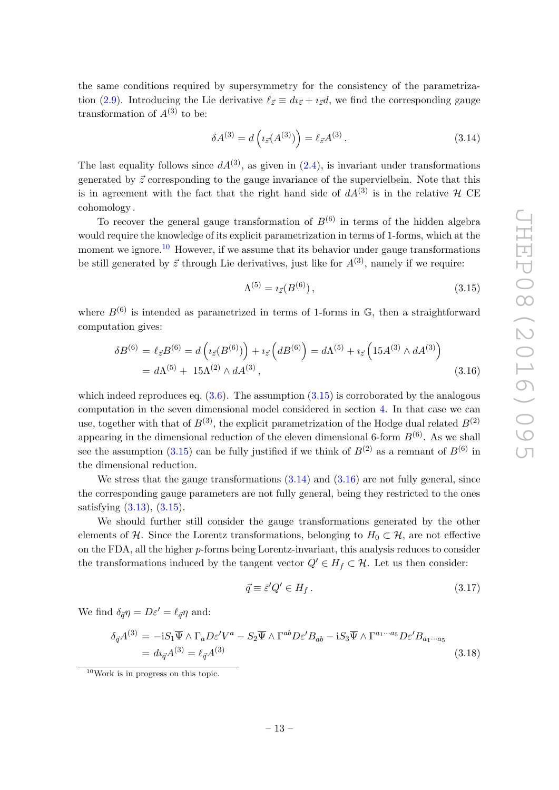the same conditions required by supersymmetry for the consistency of the parametrization (2.9). Introducing the Lie derivative  $\ell_{\vec{z}} \equiv d_{\vec{z}} + i_{\vec{z}} d$ , we find the corresponding gauge transformation of  $A^{(3)}$  to be:

$$
\delta A^{(3)} = d\left(\iota_{\vec{z}}(A^{(3)})\right) = \ell_{\vec{z}}A^{(3)}.
$$
\n(3.14)

The last equality follows since  $dA^{(3)}$ , as given in  $(2.4)$ , is invariant under transformations generated by  $\vec{z}$  corresponding to the gauge invariance of the supervielbein. Note that this is in agreement with the fact that the right hand side of  $dA^{(3)}$  is in the relative H CE cohomology .

To recover the general gauge transformation of  $B^{(6)}$  in terms of the hidden algebra would require the knowledge of its explicit parametrization in terms of 1-forms, which at the moment we ignore.<sup>10</sup> However, if we assume that its behavior under gauge transformations be still generated by  $\vec{z}$  through Lie derivatives, just like for  $A^{(3)}$ , namely if we require:

$$
\Lambda^{(5)} = i_{\vec{z}}(B^{(6)}),\tag{3.15}
$$

where  $B^{(6)}$  is intended as parametrized in terms of 1-forms in  $\mathbb{G}$ , then a straightforward computation gives:

$$
\delta B^{(6)} = \ell_{\vec{z}} B^{(6)} = d \left( i_{\vec{z}} (B^{(6)}) \right) + i_{\vec{z}} \left( d B^{(6)} \right) = d \Lambda^{(5)} + i_{\vec{z}} \left( 15 A^{(3)} \wedge d A^{(3)} \right)
$$
  
=  $d \Lambda^{(5)} + 15 \Lambda^{(2)} \wedge d A^{(3)},$  (3.16)

which indeed reproduces eq.  $(3.6)$ . The assumption  $(3.15)$  is corroborated by the analogous computation in the seven dimensional model considered in section 4. In that case we can use, together with that of  $B^{(3)}$ , the explicit parametrization of the Hodge dual related  $B^{(2)}$ appearing in the dimensional reduction of the eleven dimensional 6-form  $B^{(6)}$ . As we shall see the assumption (3.15) can be fully justified if we think of  $B^{(2)}$  as a remnant of  $B^{(6)}$  in the dimensional reduction.

We stress that the gauge transformations  $(3.14)$  and  $(3.16)$  are not fully general, since the corresponding gauge parameters are not fully general, being they restricted to the ones satisfying (3.13), (3.15).

We should further still consider the gauge transformations generated by the other elements of H. Since the Lorentz transformations, belonging to  $H_0 \subset \mathcal{H}$ , are not effective on the FDA, all the higher  $p$ -forms being Lorentz-invariant, this analysis reduces to consider the transformations induced by the tangent vector  $Q' \in H_f \subset \mathcal{H}$ . Let us then consider:

$$
\vec{q} \equiv \vec{\varepsilon}' Q' \in H_f. \tag{3.17}
$$

We find  $\delta_{\vec{q}} \eta = D \varepsilon' = \ell_{\vec{q}} \eta$  and:

$$
\delta_{\vec{q}} A^{(3)} = -i S_1 \overline{\Psi} \wedge \Gamma_a D \varepsilon' V^a - S_2 \overline{\Psi} \wedge \Gamma^{ab} D \varepsilon' B_{ab} - i S_3 \overline{\Psi} \wedge \Gamma^{a_1 \cdots a_5} D \varepsilon' B_{a_1 \cdots a_5}
$$
  
=  $di_{\vec{q}} A^{(3)} = \ell_{\vec{q}} A^{(3)}$  (3.18)

<sup>10</sup>Work is in progress on this topic.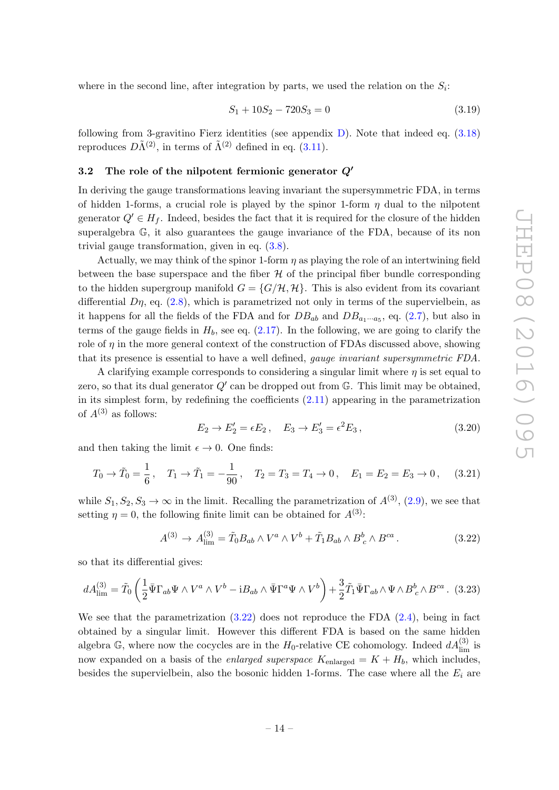where in the second line, after integration by parts, we used the relation on the  $S_i$ :

$$
S_1 + 10S_2 - 720S_3 = 0 \tag{3.19}
$$

following from 3-gravitino Fierz identities (see appendix  $D$ ). Note that indeed eq.  $(3.18)$ reproduces  $D\tilde{\Lambda}^{(2)}$ , in terms of  $\tilde{\Lambda}^{(2)}$  defined in eq. (3.11).

#### 3.2 The role of the nilpotent fermionic generator  $Q'$

In deriving the gauge transformations leaving invariant the supersymmetric FDA, in terms of hidden 1-forms, a crucial role is played by the spinor 1-form  $\eta$  dual to the nilpotent generator  $Q' \in H_f$ . Indeed, besides the fact that it is required for the closure of the hidden superalgebra G, it also guarantees the gauge invariance of the FDA, because of its non trivial gauge transformation, given in eq. (3.8).

Actually, we may think of the spinor 1-form  $\eta$  as playing the role of an intertwining field between the base superspace and the fiber  $H$  of the principal fiber bundle corresponding to the hidden supergroup manifold  $G = \{G/\mathcal{H}, \mathcal{H}\}\.$  This is also evident from its covariant differential  $D\eta$ , eq. (2.8), which is parametrized not only in terms of the supervielbein, as it happens for all the fields of the FDA and for  $DB_{ab}$  and  $DB_{a_1\cdots a_5}$ , eq. (2.7), but also in terms of the gauge fields in  $H_b$ , see eq.  $(2.17)$ . In the following, we are going to clarify the role of  $\eta$  in the more general context of the construction of FDAs discussed above, showing that its presence is essential to have a well defined, gauge invariant supersymmetric FDA.

A clarifying example corresponds to considering a singular limit where  $\eta$  is set equal to zero, so that its dual generator  $Q'$  can be dropped out from  $\mathbb{G}$ . This limit may be obtained, in its simplest form, by redefining the coefficients  $(2.11)$  appearing in the parametrization of  $A^{(3)}$  as follows:

$$
E_2 \to E_2' = \epsilon E_2, \quad E_3 \to E_3' = \epsilon^2 E_3, \tag{3.20}
$$

and then taking the limit  $\epsilon \to 0$ . One finds:

$$
T_0 \to \tilde{T}_0 = \frac{1}{6}, \quad T_1 \to \tilde{T}_1 = -\frac{1}{90}, \quad T_2 = T_3 = T_4 \to 0, \quad E_1 = E_2 = E_3 \to 0, \quad (3.21)
$$

while  $S_1, S_2, S_3 \to \infty$  in the limit. Recalling the parametrization of  $A^{(3)}$ , (2.9), we see that setting  $\eta = 0$ , the following finite limit can be obtained for  $A^{(3)}$ :

$$
A^{(3)} \to A^{(3)}_{\text{lim}} = \tilde{T}_0 B_{ab} \wedge V^a \wedge V^b + \tilde{T}_1 B_{ab} \wedge B^b{}_c \wedge B^{ca} \,. \tag{3.22}
$$

so that its differential gives:

$$
dA_{\lim}^{(3)} = \tilde{T}_0 \left( \frac{1}{2} \bar{\Psi} \Gamma_{ab} \Psi \wedge V^a \wedge V^b - i B_{ab} \wedge \bar{\Psi} \Gamma^a \Psi \wedge V^b \right) + \frac{3}{2} \tilde{T}_1 \bar{\Psi} \Gamma_{ab} \wedge \Psi \wedge B_c^b \wedge B^{ca} .
$$
 (3.23)

We see that the parametrization  $(3.22)$  does not reproduce the FDA  $(2.4)$ , being in fact obtained by a singular limit. However this different FDA is based on the same hidden algebra G, where now the cocycles are in the  $H_0$ -relative CE cohomology. Indeed  $dA_{\text{lim}}^{(3)}$  is now expanded on a basis of the *enlarged superspace*  $K_{enlarged} = K + H_b$ , which includes, besides the supervielbein, also the bosonic hidden 1-forms. The case where all the  $E_i$  are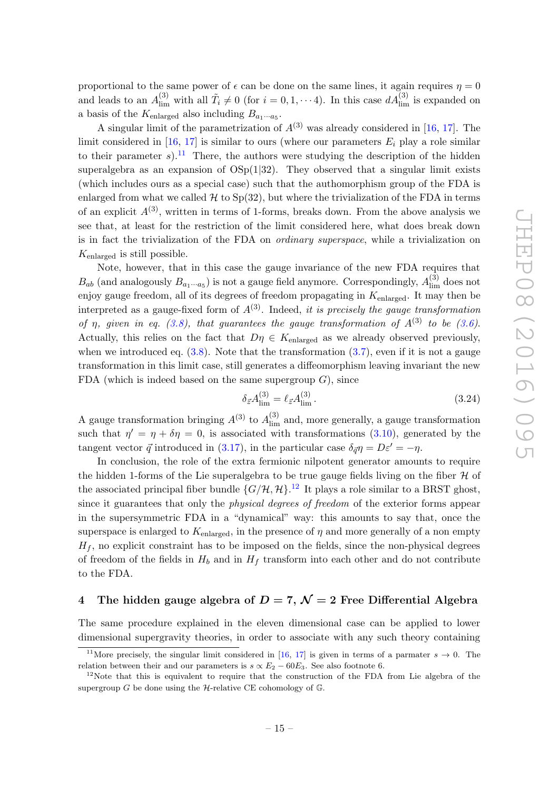proportional to the same power of  $\epsilon$  can be done on the same lines, it again requires  $\eta = 0$ and leads to an  $A_{\text{lim}}^{(3)}$  with all  $\tilde{T}_i \neq 0$  (for  $i = 0, 1, \dots 4$ ). In this case  $dA_{\text{lim}}^{(3)}$  is expanded on a basis of the  $K_{\text{enlarged}}$  also including  $B_{a_1\cdots a_5}$ .

A singular limit of the parametrization of  $A^{(3)}$  was already considered in [16, 17]. The limit considered in [16, 17] is similar to ours (where our parameters  $E_i$  play a role similar to their parameter s).<sup>11</sup> There, the authors were studying the description of the hidden superalgebra as an expansion of  $OSp(1|32)$ . They observed that a singular limit exists (which includes ours as a special case) such that the authomorphism group of the FDA is enlarged from what we called  $H$  to  $Sp(32)$ , but where the trivialization of the FDA in terms of an explicit  $A^{(3)}$ , written in terms of 1-forms, breaks down. From the above analysis we see that, at least for the restriction of the limit considered here, what does break down is in fact the trivialization of the FDA on ordinary superspace, while a trivialization on  $K_{enlared}$  is still possible.

Note, however, that in this case the gauge invariance of the new FDA requires that  $B_{ab}$  (and analogously  $B_{a_1\cdots a_5}$ ) is not a gauge field anymore. Correspondingly,  $A_{\text{lim}}^{(3)}$  does not enjoy gauge freedom, all of its degrees of freedom propagating in  $K_{enlared}$ . It may then be interpreted as a gauge-fixed form of  $A^{(3)}$ . Indeed, it is precisely the gauge transformation of  $\eta$ , given in eq. (3.8), that guarantees the gauge transformation of  $A^{(3)}$  to be (3.6). Actually, this relies on the fact that  $D\eta \in K_{\text{enlarged}}$  as we already observed previously, when we introduced eq.  $(3.8)$ . Note that the transformation  $(3.7)$ , even if it is not a gauge transformation in this limit case, still generates a diffeomorphism leaving invariant the new FDA (which is indeed based on the same supergroup  $G$ ), since

$$
\delta_{\vec{z}} A_{\text{lim}}^{(3)} = \ell_{\vec{z}} A_{\text{lim}}^{(3)}.
$$
\n(3.24)

A gauge transformation bringing  $A^{(3)}$  to  $A^{(3)}_{\text{lim}}$  and, more generally, a gauge transformation such that  $\eta' = \eta + \delta \eta = 0$ , is associated with transformations (3.10), generated by the tangent vector  $\vec{q}$  introduced in (3.17), in the particular case  $\delta_{\vec{q}}\eta = D\varepsilon' = -\eta$ .

In conclusion, the role of the extra fermionic nilpotent generator amounts to require the hidden 1-forms of the Lie superalgebra to be true gauge fields living on the fiber  $\mathcal H$  of the associated principal fiber bundle  $\{G/\mathcal{H}, \mathcal{H}\}$ .<sup>12</sup> It plays a role similar to a BRST ghost, since it guarantees that only the physical degrees of freedom of the exterior forms appear in the supersymmetric FDA in a "dynamical" way: this amounts to say that, once the superspace is enlarged to  $K_{enlarged}$ , in the presence of  $\eta$  and more generally of a non empty  $H_f$ , no explicit constraint has to be imposed on the fields, since the non-physical degrees of freedom of the fields in  $H_b$  and in  $H_f$  transform into each other and do not contribute to the FDA.

## 4 The hidden gauge algebra of  $D = 7$ ,  $\mathcal{N} = 2$  Free Differential Algebra

The same procedure explained in the eleven dimensional case can be applied to lower dimensional supergravity theories, in order to associate with any such theory containing

<sup>&</sup>lt;sup>11</sup>More precisely, the singular limit considered in [16, 17] is given in terms of a parmater  $s \to 0$ . The relation between their and our parameters is  $s \propto E_2 - 60E_3$ . See also footnote 6.

 $12$ Note that this is equivalent to require that the construction of the FDA from Lie algebra of the supergroup  $G$  be done using the  $H$ -relative CE cohomology of  $\mathbb{G}$ .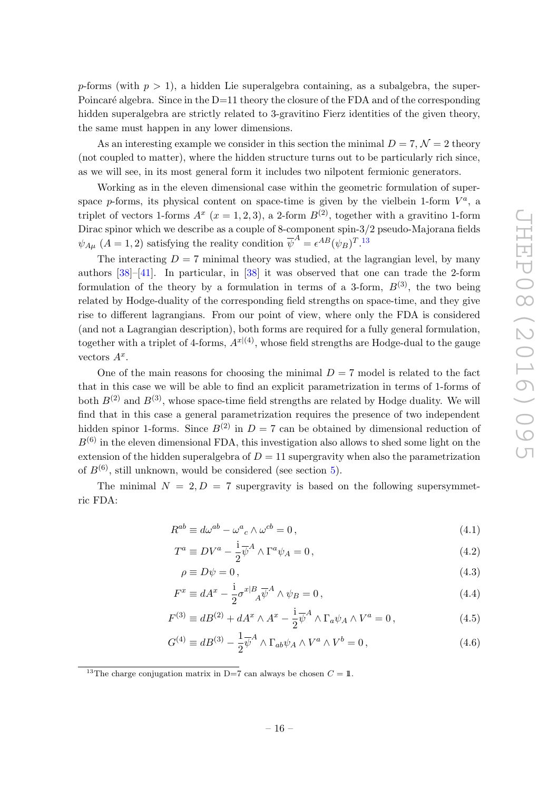p-forms (with  $p > 1$ ), a hidden Lie superalgebra containing, as a subalgebra, the super-Poincaré algebra. Since in the  $D=11$  theory the closure of the FDA and of the corresponding hidden superalgebra are strictly related to 3-gravitino Fierz identities of the given theory, the same must happen in any lower dimensions.

As an interesting example we consider in this section the minimal  $D = 7, \mathcal{N} = 2$  theory (not coupled to matter), where the hidden structure turns out to be particularly rich since, as we will see, in its most general form it includes two nilpotent fermionic generators.

Working as in the eleven dimensional case within the geometric formulation of superspace p-forms, its physical content on space-time is given by the vielbein 1-form  $V^a$ , a triplet of vectors 1-forms  $A^x$  ( $x = 1, 2, 3$ ), a 2-form  $B^{(2)}$ , together with a gravitino 1-form Dirac spinor which we describe as a couple of 8-component spin-3/2 pseudo-Majorana fields  $\psi_{A\mu}$   $(A = 1, 2)$  satisfying the reality condition  $\overline{\psi}^A = \epsilon^{AB} (\psi_B)^{T}$ .<sup>13</sup>

The interacting  $D = 7$  minimal theory was studied, at the lagrangian level, by many authors [38]–[41]. In particular, in [38] it was observed that one can trade the 2-form formulation of the theory by a formulation in terms of a 3-form,  $B^{(3)}$ , the two being related by Hodge-duality of the corresponding field strengths on space-time, and they give rise to different lagrangians. From our point of view, where only the FDA is considered (and not a Lagrangian description), both forms are required for a fully general formulation, together with a triplet of 4-forms,  $A^{x|(4)}$ , whose field strengths are Hodge-dual to the gauge vectors  $A^x$ .

One of the main reasons for choosing the minimal  $D = 7$  model is related to the fact that in this case we will be able to find an explicit parametrization in terms of 1-forms of both  $B^{(2)}$  and  $B^{(3)}$ , whose space-time field strengths are related by Hodge duality. We will find that in this case a general parametrization requires the presence of two independent hidden spinor 1-forms. Since  $B^{(2)}$  in  $D = 7$  can be obtained by dimensional reduction of  $B^{(6)}$  in the eleven dimensional FDA, this investigation also allows to shed some light on the extension of the hidden superalgebra of  $D = 11$  supergravity when also the parametrization of  $B^{(6)}$ , still unknown, would be considered (see section 5).

The minimal  $N = 2, D = 7$  supergravity is based on the following supersymmetric FDA:

$$
R^{ab} \equiv d\omega^{ab} - {\omega^a}_c \wedge {\omega^{cb}} = 0, \qquad (4.1)
$$

$$
T^{a} \equiv DV^{a} - \frac{1}{2}\overline{\psi}^{A} \wedge \Gamma^{a}\psi_{A} = 0, \qquad (4.2)
$$

$$
\rho \equiv D\psi = 0, \tag{4.3}
$$

$$
F^x \equiv dA^x - \frac{1}{2}\sigma^{x|B}{}_A \overline{\psi}^A \wedge \psi_B = 0, \qquad (4.4)
$$

$$
F^{(3)} \equiv dB^{(2)} + dA^x \wedge A^x - \frac{1}{2} \overline{\psi}^A \wedge \Gamma_a \psi_A \wedge V^a = 0, \qquad (4.5)
$$

$$
G^{(4)} \equiv dB^{(3)} - \frac{1}{2} \overline{\psi}^A \wedge \Gamma_{ab} \psi_A \wedge V^a \wedge V^b = 0, \qquad (4.6)
$$

<sup>&</sup>lt;sup>13</sup>The charge conjugation matrix in D=7 can always be chosen  $C = 1$ .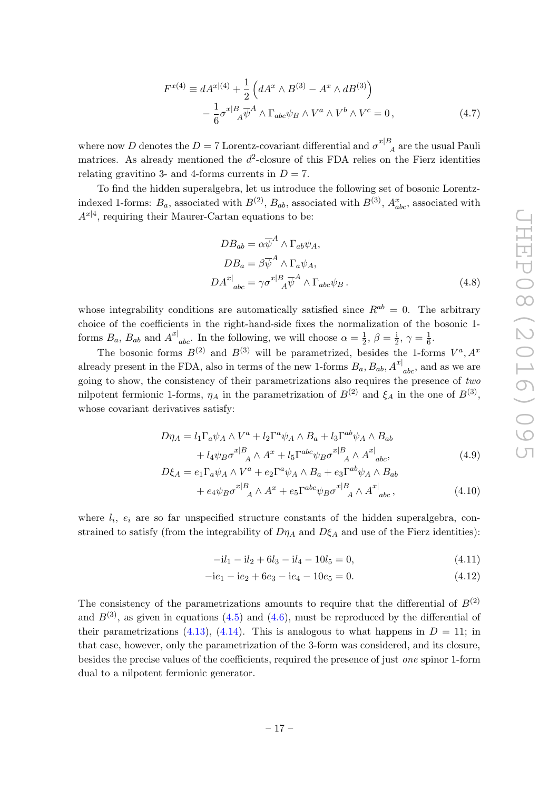$$
F^{x(4)} \equiv dA^{x|(4)} + \frac{1}{2} \left( dA^x \wedge B^{(3)} - A^x \wedge dB^{(3)} \right) - \frac{1}{6} \sigma^{x|B}{}_A \overline{\psi}^A \wedge \Gamma_{abc} \psi_B \wedge V^a \wedge V^b \wedge V^c = 0, \tag{4.7}
$$

where now D denotes the  $D = 7$  Lorentz-covariant differential and  $\sigma^{x|B}$  $P_A$  are the usual Pauli matrices. As already mentioned the  $d^2$ -closure of this FDA relies on the Fierz identities relating gravitino 3- and 4-forms currents in  $D = 7$ .

To find the hidden superalgebra, let us introduce the following set of bosonic Lorentzindexed 1-forms:  $B_a$ , associated with  $B^{(2)}$ ,  $B_{ab}$ , associated with  $B^{(3)}$ ,  $A_{abc}^x$ , associated with  $A^{x|4}$ , requiring their Maurer-Cartan equations to be:

$$
DB_{ab} = \alpha \overline{\psi}^A \wedge \Gamma_{ab} \psi_A,
$$
  
\n
$$
DB_a = \beta \overline{\psi}^A \wedge \Gamma_a \psi_A,
$$
  
\n
$$
DA^{x|}_{abc} = \gamma \sigma^{x|B}_{A} \overline{\psi}^A \wedge \Gamma_{abc} \psi_B.
$$
\n(4.8)

whose integrability conditions are automatically satisfied since  $R^{ab} = 0$ . The arbitrary choice of the coefficients in the right-hand-side fixes the normalization of the bosonic 1 forms  $B_a$ ,  $B_{ab}$  and  $A^{x|}_{abc}$ . In the following, we will choose  $\alpha = \frac{1}{2}$  $\frac{1}{2}, \beta = \frac{1}{2}$  $\frac{1}{2}, \gamma = \frac{1}{6}$  $\frac{1}{6}$ .

The bosonic forms  $B^{(2)}$  and  $B^{(3)}$  will be parametrized, besides the 1-forms  $V^a$ ,  $A^x$ already present in the FDA, also in terms of the new 1-forms  $B_a$ ,  $B_{ab}$ ,  $A^{x|}_{abc}$ , and as we are going to show, the consistency of their parametrizations also requires the presence of two nilpotent fermionic 1-forms,  $\eta_A$  in the parametrization of  $B^{(2)}$  and  $\xi_A$  in the one of  $B^{(3)}$ , whose covariant derivatives satisfy:

$$
D\eta_A = l_1 \Gamma_a \psi_A \wedge V^a + l_2 \Gamma^a \psi_A \wedge B_a + l_3 \Gamma^{ab} \psi_A \wedge B_{ab}
$$
  
+  $l_4 \psi_B \sigma^{x|B}_{A} \wedge A^x + l_5 \Gamma^{abc} \psi_B \sigma^{x|B}_{A} \wedge A^{x|}_{abc},$  (4.9)

$$
D\xi_A = e_1 \Gamma_a \psi_A \wedge V^a + e_2 \Gamma^a \psi_A \wedge B_a + e_3 \Gamma^{ab} \psi_A \wedge B_{ab}
$$
  
+ 
$$
e_4 \psi_B \sigma^{x|B}_{A} \wedge A^x + e_5 \Gamma^{abc} \psi_B \sigma^{x|B}_{A} \wedge A^{x|}_{abc},
$$
 (4.10)

where  $l_i$ ,  $e_i$  are so far unspecified structure constants of the hidden superalgebra, constrained to satisfy (from the integrability of  $D\eta_A$  and  $D\xi_A$  and use of the Fierz identities):

$$
-il_1 - il_2 + 6l_3 - il_4 - 10l_5 = 0,
$$
\n(4.11)

$$
-ie1 - ie2 + 6e3 - ie4 - 10e5 = 0.
$$
 (4.12)

The consistency of the parametrizations amounts to require that the differential of  $B^{(2)}$ and  $B^{(3)}$ , as given in equations (4.5) and (4.6), must be reproduced by the differential of their parametrizations (4.13), (4.14). This is analogous to what happens in  $D = 11$ ; in that case, however, only the parametrization of the 3-form was considered, and its closure, besides the precise values of the coefficients, required the presence of just one spinor 1-form dual to a nilpotent fermionic generator.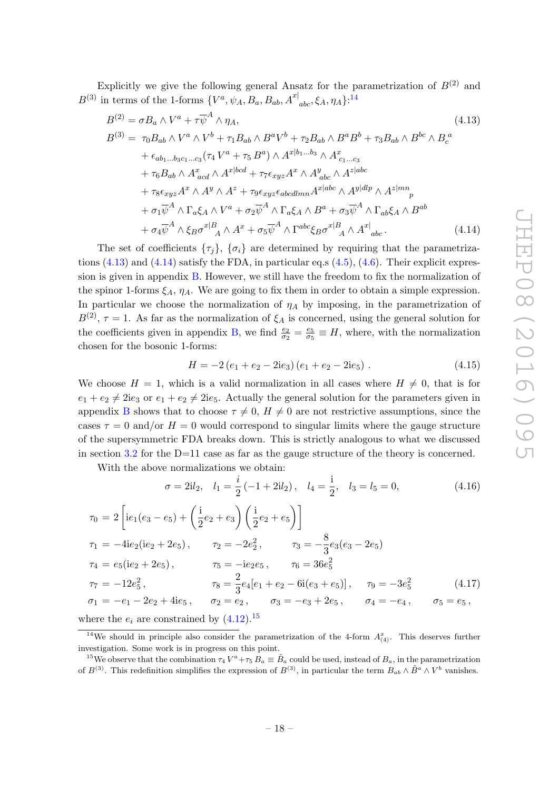Explicitly we give the following general Ansatz for the parametrization of  $B^{(2)}$  and  $B^{(3)}$  in terms of the 1-forms  $\{V^a, \psi_A, B_a, B_{ab}, A^{x} \vert_{abc}, \xi_A, \eta_A\}$ <sup>14</sup>

$$
B^{(2)} = \sigma B_a \wedge V^a + \tau \overline{\psi}^A \wedge \eta_A,
$$
  
\n
$$
B^{(3)} = \tau_0 B_{ab} \wedge V^a \wedge V^b + \tau_1 B_{ab} \wedge B^a V^b + \tau_2 B_{ab} \wedge B^a B^b + \tau_3 B_{ab} \wedge B^{bc} \wedge B_c^a
$$
  
\n
$$
+ \epsilon_{ab_1...b_3c_1...c_3} (\tau_4 V^a + \tau_5 B^a) \wedge A^{x|b_1...b_3} \wedge A_{c_1...c_3}^x
$$
  
\n
$$
+ \tau_6 B_{ab} \wedge A_{acd}^x \wedge A^{x|bcd} + \tau_7 \epsilon_{xyz} A^x \wedge A_{abc}^y \wedge A^{z|abc}
$$
  
\n
$$
+ \tau_8 \epsilon_{xyz} A^x \wedge A^y \wedge A^z + \tau_9 \epsilon_{xyz} \epsilon_{abcdmn} A^{x|abc} \wedge A^{y|dlp} \wedge A^{z|mn}{}_p
$$
  
\n
$$
+ \sigma_1 \overline{\psi}^A \wedge \Gamma_a \xi_A \wedge V^a + \sigma_2 \overline{\psi}^A \wedge \Gamma_a \xi_A \wedge B^a + \sigma_3 \overline{\psi}^A \wedge \Gamma_{ab} \xi_A \wedge B^{ab}
$$
  
\n
$$
+ \sigma_4 \overline{\psi}^A \wedge \xi_B \sigma^{x|B}{}_A \wedge A^x + \sigma_5 \overline{\psi}^A \wedge \Gamma^{abc} \xi_B \sigma^{x|B}{}_A \wedge A^x|_{abc}.
$$
  
\n(4.14)

The set of coefficients  $\{\tau_i\}$ ,  $\{\sigma_i\}$  are determined by requiring that the parametrizations  $(4.13)$  and  $(4.14)$  satisfy the FDA, in particular eq.s  $(4.5)$ ,  $(4.6)$ . Their explicit expression is given in appendix B. However, we still have the freedom to fix the normalization of the spinor 1-forms  $\xi_A$ ,  $\eta_A$ . We are going to fix them in order to obtain a simple expression. In particular we choose the normalization of  $\eta_A$  by imposing, in the parametrization of  $B^{(2)}$ ,  $\tau = 1$ . As far as the normalization of  $\xi_A$  is concerned, using the general solution for the coefficients given in appendix B, we find  $\frac{e_2}{\sigma_2} = \frac{e_5}{\sigma_5}$  $\frac{e_5}{\sigma_5} \equiv H$ , where, with the normalization chosen for the bosonic 1-forms:

$$
H = -2(e_1 + e_2 - 2ie_3)(e_1 + e_2 - 2ie_5).
$$
 (4.15)

We choose  $H = 1$ , which is a valid normalization in all cases where  $H \neq 0$ , that is for  $e_1 + e_2 \neq 2ie_3$  or  $e_1 + e_2 \neq 2ie_5$ . Actually the general solution for the parameters given in appendix B shows that to choose  $\tau \neq 0$ ,  $H \neq 0$  are not restrictive assumptions, since the cases  $\tau = 0$  and/or  $H = 0$  would correspond to singular limits where the gauge structure of the supersymmetric FDA breaks down. This is strictly analogous to what we discussed in section 3.2 for the  $D=11$  case as far as the gauge structure of the theory is concerned.

With the above normalizations we obtain:

$$
\sigma = 2il_2, \quad l_1 = \frac{i}{2} \left(-1 + 2il_2\right), \quad l_4 = \frac{i}{2}, \quad l_3 = l_5 = 0,
$$
\n
$$
\tau_0 = 2\left[ie_1(e_3 - e_5) + \left(\frac{i}{2}e_2 + e_3\right)\left(\frac{i}{2}e_2 + e_5\right)\right]
$$
\n
$$
\tau_1 = -4ie_2(ie_2 + 2e_5), \qquad \tau_2 = -2e_2^2, \qquad \tau_3 = -\frac{8}{3}e_3(e_3 - 2e_5)
$$
\n
$$
\tau_4 = e_5(ie_2 + 2e_5), \qquad \tau_5 = -ie_2e_5, \qquad \tau_6 = 36e_5^2
$$
\n
$$
\tau_7 = -12e_5^2, \qquad \tau_8 = \frac{2}{3}e_4[e_1 + e_2 - 6i(e_3 + e_5)], \qquad \tau_9 = -3e_5^2 \qquad (4.17)
$$
\n
$$
\sigma_1 = -e_1 - 2e_2 + 4ie_5, \qquad \sigma_2 = e_2, \qquad \sigma_3 = -e_3 + 2e_5, \qquad \sigma_4 = -e_4, \qquad \sigma_5 = e_5,
$$

where the  $e_i$  are constrained by  $(4.12).^{15}$ 

<sup>&</sup>lt;sup>14</sup>We should in principle also consider the parametrization of the 4-form  $A_{(4)}^x$ . This deserves further investigation. Some work is in progress on this point.

<sup>&</sup>lt;sup>15</sup>We observe that the combination  $\tau_4 V^a + \tau_5 B_a \equiv \tilde{B}_a$  could be used, instead of  $B_a$ , in the parametrization of  $B^{(3)}$ . This redefinition simplifies the expression of  $B^{(3)}$ , in particular the term  $B_{ab} \wedge \tilde{B}^a \wedge V^b$  vanishes.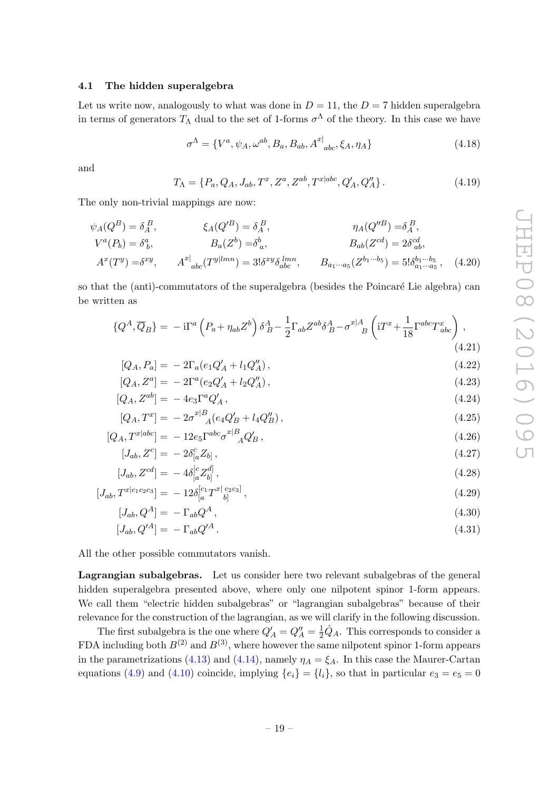#### 4.1 The hidden superalgebra

Let us write now, analogously to what was done in  $D = 11$ , the  $D = 7$  hidden superalgebra in terms of generators  $T_{\Lambda}$  dual to the set of 1-forms  $\sigma^{\Lambda}$  of the theory. In this case we have

$$
\sigma^{\Lambda} = \{V^{a}, \psi_{A}, \omega^{ab}, B_{a}, B_{ab}, A^{x|}_{abc}, \xi_{A}, \eta_{A}\}
$$
(4.18)

and

$$
T_{\Lambda} = \{P_a, Q_A, J_{ab}, T^x, Z^a, Z^{ab}, T^{x|abc}, Q'_A, Q''_A\}.
$$
 (4.19)

The only non-trivial mappings are now:

$$
\psi_A(Q^B) = \delta_A^B, \qquad \xi_A(Q'^B) = \delta_A^B, \qquad \eta_A(Q''^B) = \delta_A^B, \nV^a(P_b) = \delta_b^a, \qquad B_a(Z^b) = \delta_a^b, \qquad B_{ab}(Z^{cd}) = 2\delta_{ab}^{cd}, \nA^x(T^y) = \delta^{xy}, \qquad A^x|_{abc}(T^{y|lmn}) = 3!\delta^{xy}\delta_{abc}^{lmn}, \qquad B_{a_1 \cdots a_5}(Z^{b_1 \cdots b_5}) = 5!\delta_{a_1 \cdots a_5}^{b_1 \cdots b_5}, \qquad (4.20)
$$

so that the (anti)-commutators of the superalgebra (besides the Poincaré Lie algebra) can be written as

$$
\{Q^A, \overline{Q}_B\} = -i\Gamma^a \left(P_a + \eta_{ab} Z^b\right) \delta^A_B - \frac{1}{2} \Gamma_{ab} Z^{ab} \delta^A_B - \sigma^{x|A}_{\quad \, B} \left(iT^x + \frac{1}{18} \Gamma^{abc} T^x_{\, abc}\right),\tag{4.21}
$$

$$
[Q_A, P_a] = -2\Gamma_a(e_1Q'_A + l_1Q''_A), \qquad (4.22)
$$

$$
[Q_A, Z^a] = -2\Gamma^a (e_2 Q'_A + l_2 Q''_A), \qquad (4.23)
$$

$$
[Q_A, Z^{ab}] = -4e_3\Gamma^a Q'_A, \qquad (4.24)
$$

$$
[Q_A, T^x] = -2\sigma^{x|B}_{A}(e_4 Q'_B + l_4 Q''_B), \qquad (4.25)
$$

$$
[Q_A, T^{x|abc}] = -12e_5 \Gamma^{abc} \sigma^{x|B}_{\quad A} Q'_B , \qquad (4.26)
$$

$$
[J_{ab}, Z^{c}] = -2\delta_{[a}^{c} Z_{b]},
$$
  
\n
$$
[J_{ab}, Z^{cd}] = -4\delta_{[a}^{[c} Z_{b]}^{d]},
$$
\n(4.27)

$$
[J_{ab}, T^{x|c_1c_2c_3}] = -12\delta_{[a}^{[c_1}T^{x|c_2c_3]}, \qquad (4.29)
$$

$$
[J_{ab}, Q^A] = -\Gamma_{ab} Q^A \,,\tag{4.30}
$$

$$
[J_{ab}, Q^{\prime A}] = -\Gamma_{ab} Q^{\prime A} \,. \tag{4.31}
$$

All the other possible commutators vanish.

Lagrangian subalgebras. Let us consider here two relevant subalgebras of the general hidden superalgebra presented above, where only one nilpotent spinor 1-form appears. We call them "electric hidden subalgebras" or "lagrangian subalgebras" because of their relevance for the construction of the lagrangian, as we will clarify in the following discussion.

The first subalgebra is the one where  $Q'_A = Q''_A = \frac{1}{2}\hat{Q}_A$ . This corresponds to consider a FDA including both  $B^{(2)}$  and  $B^{(3)}$ , where however the same nilpotent spinor 1-form appears in the parametrizations (4.13) and (4.14), namely  $\eta_A = \xi_A$ . In this case the Maurer-Cartan equations (4.9) and (4.10) coincide, implying  $\{e_i\} = \{l_i\}$ , so that in particular  $e_3 = e_5 = 0$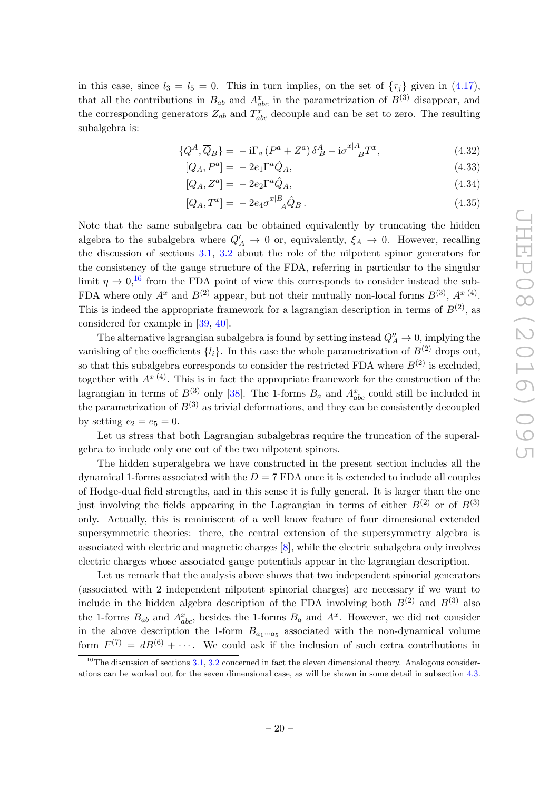in this case, since  $l_3 = l_5 = 0$ . This in turn implies, on the set of  $\{\tau_j\}$  given in (4.17), that all the contributions in  $B_{ab}$  and  $A_{abc}^x$  in the parametrization of  $B^{(3)}$  disappear, and the corresponding generators  $Z_{ab}$  and  $T_{abc}^x$  decouple and can be set to zero. The resulting subalgebra is:

$$
\{Q^A, \overline{Q}_B\} = -i\Gamma_a \left(P^a + Z^a\right) \delta^A_B - i\sigma^{x|A}_{\quad B} T^x,\tag{4.32}
$$

$$
[Q_A, P^a] = -2e_1 \Gamma^a \hat{Q}_A,\tag{4.33}
$$

$$
[Q_A, Z^a] = -2e_2\Gamma^a\hat{Q}_A,\tag{4.34}
$$

$$
[Q_A, T^x] = -2e_4 \sigma^{x|B}_{\quad \hat{A}} \hat{Q}_B \,. \tag{4.35}
$$

Note that the same subalgebra can be obtained equivalently by truncating the hidden algebra to the subalgebra where  $Q'_A \rightarrow 0$  or, equivalently,  $\xi_A \rightarrow 0$ . However, recalling the discussion of sections 3.1, 3.2 about the role of the nilpotent spinor generators for the consistency of the gauge structure of the FDA, referring in particular to the singular limit  $\eta \to 0$ ,<sup>16</sup> from the FDA point of view this corresponds to consider instead the sub-FDA where only  $A^x$  and  $B^{(2)}$  appear, but not their mutually non-local forms  $B^{(3)}$ ,  $A^{x|(4)}$ . This is indeed the appropriate framework for a lagrangian description in terms of  $B^{(2)}$ , as considered for example in [39, 40].

The alternative lagrangian subalgebra is found by setting instead  $Q''_A \to 0$ , implying the vanishing of the coefficients  $\{l_i\}$ . In this case the whole parametrization of  $B^{(2)}$  drops out, so that this subalgebra corresponds to consider the restricted FDA where  $B^{(2)}$  is excluded. together with  $A^{x|(4)}$ . This is in fact the appropriate framework for the construction of the lagrangian in terms of  $B^{(3)}$  only [38]. The 1-forms  $B_a$  and  $A_{abc}^x$  could still be included in the parametrization of  $B^{(3)}$  as trivial deformations, and they can be consistently decoupled by setting  $e_2 = e_5 = 0$ .

Let us stress that both Lagrangian subalgebras require the truncation of the superalgebra to include only one out of the two nilpotent spinors.

The hidden superalgebra we have constructed in the present section includes all the dynamical 1-forms associated with the  $D = 7$  FDA once it is extended to include all couples of Hodge-dual field strengths, and in this sense it is fully general. It is larger than the one just involving the fields appearing in the Lagrangian in terms of either  $B^{(2)}$  or of  $B^{(3)}$ only. Actually, this is reminiscent of a well know feature of four dimensional extended supersymmetric theories: there, the central extension of the supersymmetry algebra is associated with electric and magnetic charges [8], while the electric subalgebra only involves electric charges whose associated gauge potentials appear in the lagrangian description.

Let us remark that the analysis above shows that two independent spinorial generators (associated with 2 independent nilpotent spinorial charges) are necessary if we want to include in the hidden algebra description of the FDA involving both  $B^{(2)}$  and  $B^{(3)}$  also the 1-forms  $B_{ab}$  and  $A_{abc}^x$ , besides the 1-forms  $B_a$  and  $A^x$ . However, we did not consider in the above description the 1-form  $B_{a_1\cdots a_5}$  associated with the non-dynamical volume form  $F^{(7)} = dB^{(6)} + \cdots$ . We could ask if the inclusion of such extra contributions in

 $16$ The discussion of sections 3.1, 3.2 concerned in fact the eleven dimensional theory. Analogous considerations can be worked out for the seven dimensional case, as will be shown in some detail in subsection 4.3.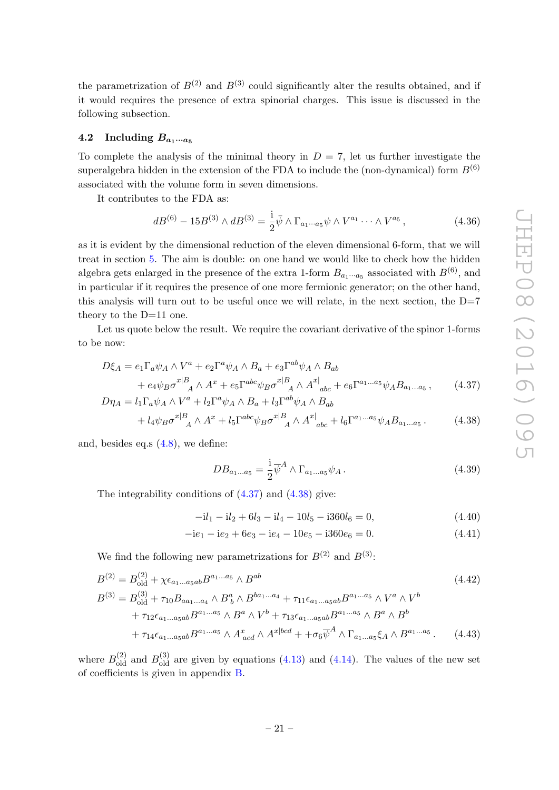the parametrization of  $B^{(2)}$  and  $B^{(3)}$  could significantly alter the results obtained, and if it would requires the presence of extra spinorial charges. This issue is discussed in the following subsection.

#### 4.2 Including  $B_{a_1\cdots a_5}$

To complete the analysis of the minimal theory in  $D = 7$ , let us further investigate the superalgebra hidden in the extension of the FDA to include the (non-dynamical) form  $B^{(6)}$ associated with the volume form in seven dimensions.

It contributes to the FDA as:

$$
dB^{(6)} - 15B^{(3)} \wedge dB^{(3)} = \frac{1}{2}\bar{\psi} \wedge \Gamma_{a_1 \cdots a_5} \psi \wedge V^{a_1} \cdots \wedge V^{a_5}, \qquad (4.36)
$$

as it is evident by the dimensional reduction of the eleven dimensional 6-form, that we will treat in section 5. The aim is double: on one hand we would like to check how the hidden algebra gets enlarged in the presence of the extra 1-form  $B_{a_1\cdots a_5}$  associated with  $B^{(6)}$ , and in particular if it requires the presence of one more fermionic generator; on the other hand, this analysis will turn out to be useful once we will relate, in the next section, the  $D=7$ theory to the D=11 one.

Let us quote below the result. We require the covariant derivative of the spinor 1-forms to be now:

$$
D\xi_A = e_1 \Gamma_a \psi_A \wedge V^a + e_2 \Gamma^a \psi_A \wedge B_a + e_3 \Gamma^{ab} \psi_A \wedge B_{ab}
$$
  
+ 
$$
e_4 \psi_B \sigma^{x|B}{}_{A} \wedge A^x + e_5 \Gamma^{abc} \psi_B \sigma^{x|B}{}_{A} \wedge A^x{}_{abc} + e_6 \Gamma^{a_1...a_5} \psi_A B_{a_1...a_5} , \qquad (4.37)
$$

$$
D\eta_A = l_1 \Gamma_a \psi_A \wedge V^a + l_2 \Gamma^a \psi_A \wedge B_a + l_3 \Gamma^{ab} \psi_A \wedge B_{ab}
$$
  
+  $l_4 \psi_B \sigma^{x|B}_{A} \wedge A^x + l_5 \Gamma^{abc} \psi_B \sigma^{x|B}_{A} \wedge A^{x|}_{abc} + l_6 \Gamma^{a_1...a_5} \psi_A B_{a_1...a_5}$ . (4.38)

and, besides eq.s (4.8), we define:

$$
DB_{a_1...a_5} = \frac{1}{2}\overline{\psi}^A \wedge \Gamma_{a_1...a_5}\psi_A.
$$
 (4.39)

The integrability conditions of (4.37) and (4.38) give:

$$
-il_1 - il_2 + 6l_3 - il_4 - 10l_5 - i360l_6 = 0,
$$
\n(4.40)

$$
-ie1 - ie2 + 6e3 - ie4 - 10e5 - i360e6 = 0.
$$
 (4.41)

We find the following new parametrizations for  $B^{(2)}$  and  $B^{(3)}$ :

$$
B^{(2)} = B_{\text{old}}^{(2)} + \chi \epsilon_{a_1 \dots a_5 ab} B^{a_1 \dots a_5} \wedge B^{ab}
$$
\n
$$
B^{(3)} = B_{\text{old}}^{(3)} + \tau_{10} B_{aa_1 \dots a_4} \wedge B_b^a \wedge B_{\text{bal}}^{ba_1 \dots a_4} + \tau_{11} \epsilon_{a_1 \dots a_5 ab} B^{a_1 \dots a_5} \wedge V^a \wedge V^b
$$
\n
$$
+ \tau_{12} \epsilon_{a_1 \dots a_5 ab} B^{a_1 \dots a_5} \wedge B^a \wedge V^b + \tau_{13} \epsilon_{a_1 \dots a_5 ab} B^{a_1 \dots a_5} \wedge B^a \wedge B^b
$$
\n
$$
+ \tau_{14} \epsilon_{a_1 \dots a_5 ab} B^{a_1 \dots a_5} \wedge A_{acd}^x \wedge A^{x | bcd} + \tau_{6} \overline{\psi}^A \wedge \Gamma_{a_1 \dots a_5} \xi_A \wedge B^{a_1 \dots a_5}.
$$
\n(4.43)

where  $B_{\text{old}}^{(2)}$  and  $B_{\text{old}}^{(3)}$  are given by equations (4.13) and (4.14). The values of the new set of coefficients is given in appendix B.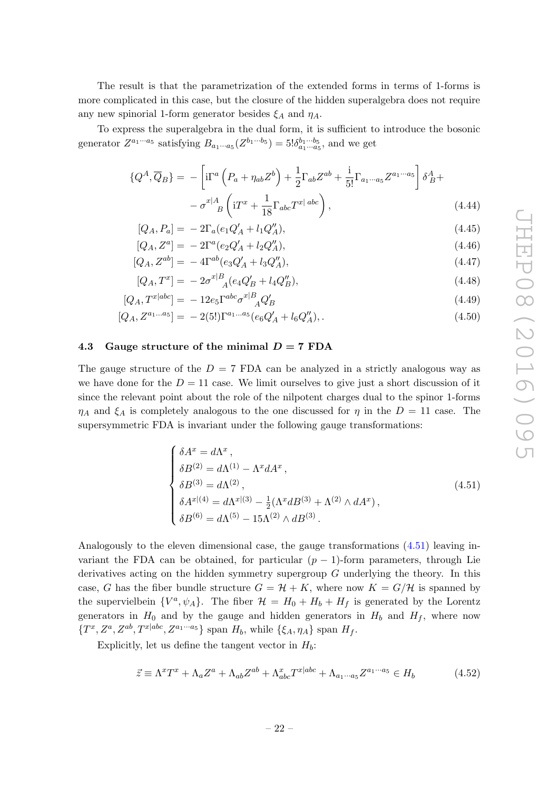The result is that the parametrization of the extended forms in terms of 1-forms is more complicated in this case, but the closure of the hidden superalgebra does not require any new spinorial 1-form generator besides  $\xi_A$  and  $\eta_A$ .

To express the superalgebra in the dual form, it is sufficient to introduce the bosonic generator  $Z^{a_1 \cdots a_5}$  satisfying  $B_{a_1 \cdots a_5}(Z^{b_1 \cdots b_5}) = 5! \delta_{a_1 \cdots a_5}^{b_1 \cdots b_5}$ , and we get

$$
\{Q^A, \overline{Q}_B\} = -\left[\mathrm{i}\Gamma^a \left(P_a + \eta_{ab} Z^b\right) + \frac{1}{2} \Gamma_{ab} Z^{ab} + \frac{\mathrm{i}}{5!} \Gamma_{a_1 \cdots a_5} Z^{a_1 \cdots a_5} \right] \delta^A_B +
$$

$$
- \sigma^{x|A}_{\quad B} \left(\mathrm{i} T^x + \frac{1}{18} \Gamma_{abc} T^{x| \, abc} \right), \tag{4.44}
$$

$$
[Q_A, P_a] = -2\Gamma_a (e_1 Q'_A + l_1 Q''_A), \tag{4.45}
$$

$$
[Q_A, Z^a] = -2\Gamma^a (e_2 Q'_A + l_2 Q''_A), \qquad (4.46)
$$

$$
[Q_A, Z^{ab}] = -4\Gamma^{ab}(e_3 Q'_A + l_3 Q''_A), \tag{4.47}
$$

$$
[Q_A, T^x] = -2\sigma^{x|B}_{A}(e_4 Q'_B + l_4 Q''_B), \qquad (4.48)
$$

$$
[Q_A, T^{x|abc}] = -12e_5 \Gamma^{abc} \sigma^{x|B}_{A} Q'_B
$$
\n(4.49)

$$
[Q_A, Z^{a_1...a_5}] = -2(5!) \Gamma^{a_1...a_5} (e_6 Q'_A + l_6 Q''_A), \qquad (4.50)
$$

#### 4.3 Gauge structure of the minimal  $D = 7$  FDA

The gauge structure of the  $D = 7$  FDA can be analyzed in a strictly analogous way as we have done for the  $D = 11$  case. We limit ourselves to give just a short discussion of it since the relevant point about the role of the nilpotent charges dual to the spinor 1-forms  $\eta_A$  and  $\xi_A$  is completely analogous to the one discussed for  $\eta$  in the  $D = 11$  case. The supersymmetric FDA is invariant under the following gauge transformations:

$$
\begin{cases}\n\delta A^{x} = d\Lambda^{x}, \\
\delta B^{(2)} = d\Lambda^{(1)} - \Lambda^{x} dA^{x}, \\
\delta B^{(3)} = d\Lambda^{(2)}, \\
\delta A^{x|(4)} = d\Lambda^{x|(3)} - \frac{1}{2} (\Lambda^{x} dB^{(3)} + \Lambda^{(2)} \wedge dA^{x}), \\
\delta B^{(6)} = d\Lambda^{(5)} - 15\Lambda^{(2)} \wedge dB^{(3)}.\n\end{cases}
$$
\n(4.51)

Analogously to the eleven dimensional case, the gauge transformations (4.51) leaving invariant the FDA can be obtained, for particular  $(p-1)$ -form parameters, through Lie derivatives acting on the hidden symmetry supergroup  $G$  underlying the theory. In this case, G has the fiber bundle structure  $G = H + K$ , where now  $K = G/H$  is spanned by the supervielbein  $\{V^a, \psi_A\}$ . The fiber  $\mathcal{H} = H_0 + H_b + H_f$  is generated by the Lorentz generators in  $H_0$  and by the gauge and hidden generators in  $H_b$  and  $H_f$ , where now  $\{T^x, Z^a, Z^{ab}, T^{x|abc}, Z^{a_1 \cdots a_5}\}$  span  $H_b$ , while  $\{\xi_A, \eta_A\}$  span  $H_f$ .

Explicitly, let us define the tangent vector in  $H_b$ :

$$
\vec{z} \equiv \Lambda^x T^x + \Lambda_a Z^a + \Lambda_{ab} Z^{ab} + \Lambda_{abc}^x T^{x|abc} + \Lambda_{a_1 \cdots a_5} Z^{a_1 \cdots a_5} \in H_b \tag{4.52}
$$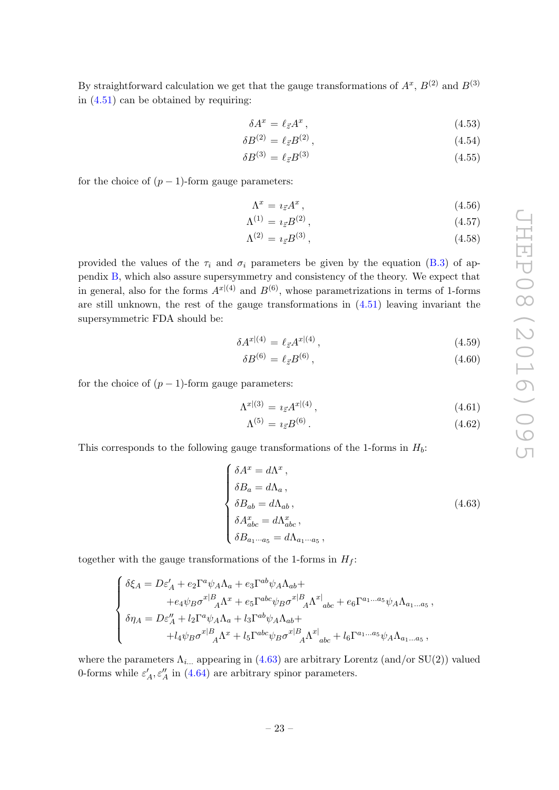By straightforward calculation we get that the gauge transformations of  $A^x$ ,  $B^{(2)}$  and  $B^{(3)}$ in (4.51) can be obtained by requiring:

$$
\delta A^x = \ell_{\vec{z}} A^x \,, \tag{4.53}
$$

$$
\delta B^{(2)} = \ell_{\vec{z}} B^{(2)} \,, \tag{4.54}
$$

$$
\delta B^{(3)} = \ell_{\vec{z}} B^{(3)} \tag{4.55}
$$

for the choice of  $(p-1)$ -form gauge parameters:

$$
\Lambda^x = i_{\vec{z}} A^x, \tag{4.56}
$$

$$
\Lambda^{(1)} = i_{\vec{z}} B^{(2)} \,, \tag{4.57}
$$

$$
\Lambda^{(2)} = i_{\vec{z}} B^{(3)},\tag{4.58}
$$

provided the values of the  $\tau_i$  and  $\sigma_i$  parameters be given by the equation (B.3) of appendix B, which also assure supersymmetry and consistency of the theory. We expect that in general, also for the forms  $A^{x|(4)}$  and  $B^{(6)}$ , whose parametrizations in terms of 1-forms are still unknown, the rest of the gauge transformations in (4.51) leaving invariant the supersymmetric FDA should be:

$$
\delta A^{x|(4)} = \ell_{\vec{z}} A^{x|(4)},\tag{4.59}
$$

$$
\delta B^{(6)} = \ell_{\vec{z}} B^{(6)},\tag{4.60}
$$

for the choice of  $(p-1)$ -form gauge parameters:

$$
\Lambda^{x|(3)} = i_{\vec{z}} A^{x|(4)},\tag{4.61}
$$

$$
\Lambda^{(5)} = i_{\vec{z}} B^{(6)} \,. \tag{4.62}
$$

This corresponds to the following gauge transformations of the 1-forms in  $H_b$ :

$$
\begin{cases}\n\delta A^x = d\Lambda^x, \\
\delta B_a = d\Lambda_a, \\
\delta B_{ab} = d\Lambda_{ab}, \\
\delta A^x_{abc} = d\Lambda^x_{abc}, \\
\delta B_{a_1 \cdots a_5} = d\Lambda_{a_1 \cdots a_5},\n\end{cases}
$$
\n(4.63)

together with the gauge transformations of the 1-forms in  $H_f$ :

$$
\begin{cases} \delta \xi_A = D \varepsilon_A' + e_2 \Gamma^a \psi_A \Lambda_a + e_3 \Gamma^{ab} \psi_A \Lambda_{ab} + \\qquad \qquad + e_4 \psi_B \sigma^{x|B}_{\quad A} \Lambda^x + e_5 \Gamma^{abc} \psi_B \sigma^{x|B}_{\quad A} \Lambda^{x|}_{\quad abc} + e_6 \Gamma^{a_1...a_5} \psi_A \Lambda_{a_1...a_5} \,, \\ \delta \eta_A = D \varepsilon_A'' + l_2 \Gamma^a \psi_A \Lambda_a + l_3 \Gamma^{ab} \psi_A \Lambda_{ab} + \\qquad \qquad + l_4 \psi_B \sigma^{x|B}_{\quad A} \Lambda^x + l_5 \Gamma^{abc} \psi_B \sigma^{x|B}_{\quad A} \Lambda^{x|}_{\quad abc} + l_6 \Gamma^{a_1...a_5} \psi_A \Lambda_{a_1...a_5} \,, \end{cases}
$$

where the parameters  $\Lambda_{i...}$  appearing in (4.63) are arbitrary Lorentz (and/or SU(2)) valued 0-forms while  $\varepsilon'_A$ ,  $\varepsilon''_A$  in (4.64) are arbitrary spinor parameters.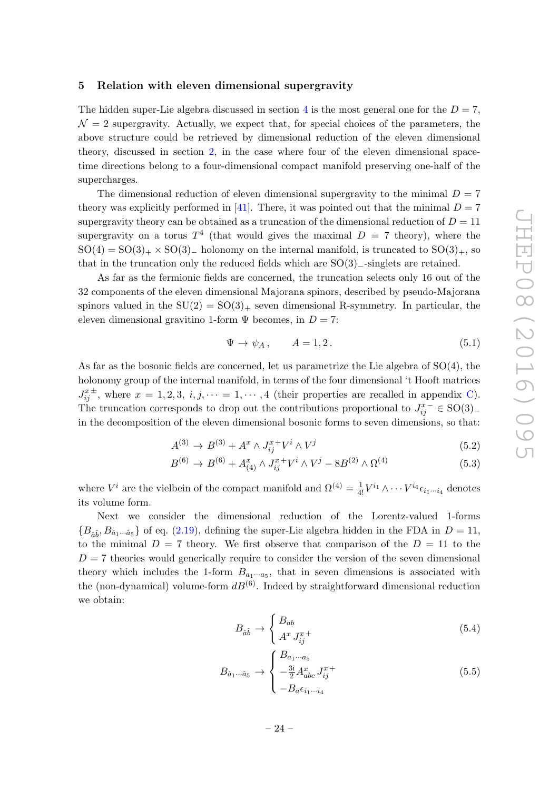#### 5 Relation with eleven dimensional supergravity

The hidden super-Lie algebra discussed in section 4 is the most general one for the  $D = 7$ ,  $\mathcal{N} = 2$  supergravity. Actually, we expect that, for special choices of the parameters, the above structure could be retrieved by dimensional reduction of the eleven dimensional theory, discussed in section 2, in the case where four of the eleven dimensional spacetime directions belong to a four-dimensional compact manifold preserving one-half of the supercharges.

The dimensional reduction of eleven dimensional supergravity to the minimal  $D = 7$ theory was explicitly performed in [41]. There, it was pointed out that the minimal  $D = 7$ supergravity theory can be obtained as a truncation of the dimensional reduction of  $D = 11$ supergravity on a torus  $T^4$  (that would gives the maximal  $D = 7$  theory), where the  $SO(4) = SO(3)_+ \times SO(3)_-$  holonomy on the internal manifold, is truncated to  $SO(3)_+$ , so that in the truncation only the reduced fields which are  $SO(3)$ <sub>−</sub>-singlets are retained.

As far as the fermionic fields are concerned, the truncation selects only 16 out of the 32 components of the eleven dimensional Majorana spinors, described by pseudo-Majorana spinors valued in the  $SU(2) = SO(3)_+$  seven dimensional R-symmetry. In particular, the eleven dimensional gravitino 1-form  $\Psi$  becomes, in  $D = 7$ :

$$
\Psi \to \psi_A, \qquad A = 1, 2. \tag{5.1}
$$

As far as the bosonic fields are concerned, let us parametrize the Lie algebra of SO(4), the holonomy group of the internal manifold, in terms of the four dimensional 't Hooft matrices  $J_{ij}^{x\pm}$ , where  $x = 1, 2, 3, i, j, \dots = 1, \dots, 4$  (their properties are recalled in appendix C). The truncation corresponds to drop out the contributions proportional to  $J_{ij}^{x-} \in SO(3)$ in the decomposition of the eleven dimensional bosonic forms to seven dimensions, so that:

$$
A^{(3)} \to B^{(3)} + A^x \wedge J_{ij}^{x+} V^i \wedge V^j \tag{5.2}
$$

$$
B^{(6)} \to B^{(6)} + A_{(4)}^x \wedge J_{ij}^x + V^i \wedge V^j - 8B^{(2)} \wedge \Omega^{(4)} \tag{5.3}
$$

where  $V^i$  are the vielbein of the compact manifold and  $\Omega^{(4)} = \frac{1}{4!} V^{i_1} \wedge \cdots V^{i_4} \epsilon_{i_1 \cdots i_4}$  denotes its volume form.

Next we consider the dimensional reduction of the Lorentz-valued 1-forms  ${B_{\hat{a}\hat{b}}, B_{\hat{a}_1\cdots\hat{a}_5}}$  of eq. (2.19), defining the super-Lie algebra hidden in the FDA in  $D = 11$ , to the minimal  $D = 7$  theory. We first observe that comparison of the  $D = 11$  to the  $D = 7$  theories would generically require to consider the version of the seven dimensional theory which includes the 1-form  $B_{a_1\cdots a_5}$ , that in seven dimensions is associated with the (non-dynamical) volume-form  $dB^{(6)}$ . Indeed by straightforward dimensional reduction we obtain:

$$
B_{\hat{a}\hat{b}} \rightarrow \begin{cases} B_{ab} \\ A^x J_{ij}^{x+} \end{cases} \tag{5.4}
$$

$$
B_{\hat{a}_1 \cdots \hat{a}_5} \rightarrow \begin{cases} B_{a_1 \cdots a_5} \\ -\frac{3i}{2} A_{abc}^x J_{ij}^{x+} \\ -B_a \epsilon_{i_1 \cdots i_4} \end{cases} \tag{5.5}
$$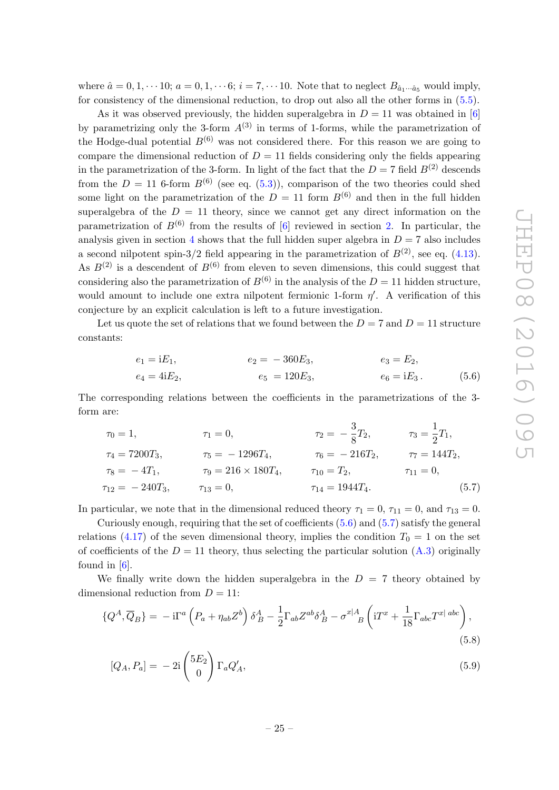where  $\hat{a} = 0, 1, \dots$  10;  $a = 0, 1, \dots$  6;  $i = 7, \dots$  10. Note that to neglect  $B_{\hat{a}_1 \dots \hat{a}_5}$  would imply, for consistency of the dimensional reduction, to drop out also all the other forms in (5.5).

As it was observed previously, the hidden superalgebra in  $D = 11$  was obtained in [6] by parametrizing only the 3-form  $A^{(3)}$  in terms of 1-forms, while the parametrization of the Hodge-dual potential  $B^{(6)}$  was not considered there. For this reason we are going to compare the dimensional reduction of  $D = 11$  fields considering only the fields appearing in the parametrization of the 3-form. In light of the fact that the  $D = 7$  field  $B^{(2)}$  descends from the  $D = 11$  6-form  $B^{(6)}$  (see eq. (5.3)), comparison of the two theories could shed some light on the parametrization of the  $D = 11$  form  $B^{(6)}$  and then in the full hidden superalgebra of the  $D = 11$  theory, since we cannot get any direct information on the parametrization of  $B^{(6)}$  from the results of [6] reviewed in section 2. In particular, the analysis given in section 4 shows that the full hidden super algebra in  $D = 7$  also includes a second nilpotent spin-3/2 field appearing in the parametrization of  $B^{(2)}$ , see eq. (4.13). As  $B^{(2)}$  is a descendent of  $B^{(6)}$  from eleven to seven dimensions, this could suggest that considering also the parametrization of  $B^{(6)}$  in the analysis of the  $D = 11$  hidden structure, would amount to include one extra nilpotent fermionic 1-form  $\eta'$ . A verification of this conjecture by an explicit calculation is left to a future investigation.

Let us quote the set of relations that we found between the  $D = 7$  and  $D = 11$  structure constants:

$$
e_1 = iE_1,
$$
  $e_2 = -360E_3,$   $e_3 = E_2,$   
\n $e_4 = 4iE_2,$   $e_5 = 120E_3,$   $e_6 = iE_3.$  (5.6)

The corresponding relations between the coefficients in the parametrizations of the 3 form are:

$$
\tau_0 = 1, \qquad \tau_1 = 0, \qquad \tau_2 = -\frac{3}{8}T_2, \qquad \tau_3 = \frac{1}{2}T_1,
$$
  
\n
$$
\tau_4 = 7200T_3, \qquad \tau_5 = -1296T_4, \qquad \tau_6 = -216T_2, \qquad \tau_7 = 144T_2,
$$
  
\n
$$
\tau_8 = -4T_1, \qquad \tau_9 = 216 \times 180T_4, \qquad \tau_{10} = T_2, \qquad \tau_{11} = 0,
$$
  
\n
$$
\tau_{12} = -240T_3, \qquad \tau_{13} = 0, \qquad \tau_{14} = 1944T_4.
$$
\n(5.7)

In particular, we note that in the dimensional reduced theory  $\tau_1 = 0$ ,  $\tau_{11} = 0$ , and  $\tau_{13} = 0$ .

Curiously enough, requiring that the set of coefficients (5.6) and (5.7) satisfy the general relations (4.17) of the seven dimensional theory, implies the condition  $T_0 = 1$  on the set of coefficients of the  $D = 11$  theory, thus selecting the particular solution (A.3) originally found in  $[6]$ .

We finally write down the hidden superalgebra in the  $D = 7$  theory obtained by dimensional reduction from  $D = 11$ :

$$
\{Q^A,\overline{Q}_B\} = -i\Gamma^a \left(P_a + \eta_{ab} Z^b\right) \delta^A_B - \frac{1}{2} \Gamma_{ab} Z^{ab} \delta^A_B - \sigma^{x|A}_{\quad \, B} \left(iT^x + \frac{1}{18} \Gamma_{abc} T^{x|abc}\right),\tag{5.8}
$$

$$
[Q_A, P_a] = -2i \begin{pmatrix} 5E_2 \\ 0 \end{pmatrix} \Gamma_a Q'_A,\tag{5.9}
$$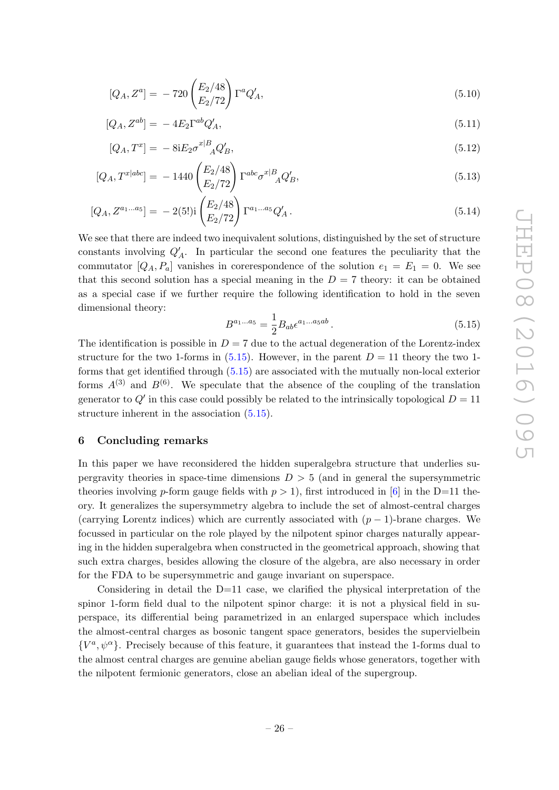$$
[Q_A, Z^a] = -720 \begin{pmatrix} E_2/48 \\ E_2/72 \end{pmatrix} \Gamma^a Q'_A, \qquad (5.10)
$$

$$
[Q_A, Z^{ab}] = -4E_2 \Gamma^{ab} Q'_A,\tag{5.11}
$$

$$
[Q_A, T^x] = -8iE_2\sigma^{x|B}_{A}Q'_B,
$$
\n(5.12)

$$
[Q_A, T^{x|abc}] = -1440 \begin{pmatrix} E_2/48 \\ E_2/72 \end{pmatrix} \Gamma^{abc} \sigma^{x|B}_{A} Q'_B,
$$
\n(5.13)

$$
[Q_A, Z^{a_1 \dots a_5}] = -2(5!)i \left(\frac{E_2/48}{E_2/72}\right) \Gamma^{a_1 \dots a_5} Q'_A.
$$
\n(5.14)

We see that there are indeed two inequivalent solutions, distinguished by the set of structure constants involving  $Q'_A$ . In particular the second one features the peculiarity that the commutator  $[Q_A, P_a]$  vanishes in core respondence of the solution  $e_1 = E_1 = 0$ . We see that this second solution has a special meaning in the  $D = 7$  theory: it can be obtained as a special case if we further require the following identification to hold in the seven dimensional theory:

$$
B^{a_1...a_5} = \frac{1}{2} B_{ab} \epsilon^{a_1...a_5 ab} \,. \tag{5.15}
$$

The identification is possible in  $D = 7$  due to the actual degeneration of the Lorentz-index structure for the two 1-forms in  $(5.15)$ . However, in the parent  $D = 11$  theory the two 1forms that get identified through (5.15) are associated with the mutually non-local exterior forms  $A^{(3)}$  and  $B^{(6)}$ . We speculate that the absence of the coupling of the translation generator to  $Q'$  in this case could possibly be related to the intrinsically topological  $D = 11$ structure inherent in the association (5.15).

#### 6 Concluding remarks

In this paper we have reconsidered the hidden superalgebra structure that underlies supergravity theories in space-time dimensions  $D > 5$  (and in general the supersymmetric theories involving p-form gauge fields with  $p > 1$ , first introduced in [6] in the D=11 theory. It generalizes the supersymmetry algebra to include the set of almost-central charges (carrying Lorentz indices) which are currently associated with  $(p-1)$ -brane charges. We focussed in particular on the role played by the nilpotent spinor charges naturally appearing in the hidden superalgebra when constructed in the geometrical approach, showing that such extra charges, besides allowing the closure of the algebra, are also necessary in order for the FDA to be supersymmetric and gauge invariant on superspace.

Considering in detail the  $D=11$  case, we clarified the physical interpretation of the spinor 1-form field dual to the nilpotent spinor charge: it is not a physical field in superspace, its differential being parametrized in an enlarged superspace which includes the almost-central charges as bosonic tangent space generators, besides the supervielbein  $\{V^a, \psi^\alpha\}$ . Precisely because of this feature, it guarantees that instead the 1-forms dual to the almost central charges are genuine abelian gauge fields whose generators, together with the nilpotent fermionic generators, close an abelian ideal of the supergroup.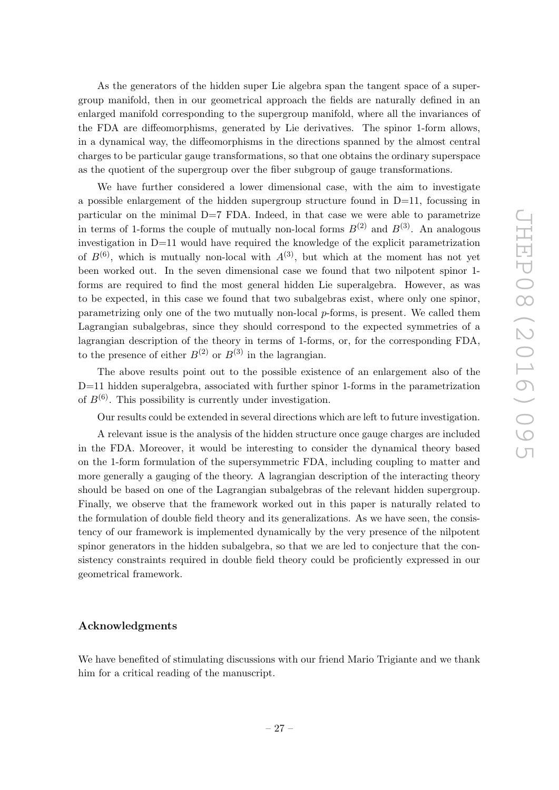As the generators of the hidden super Lie algebra span the tangent space of a supergroup manifold, then in our geometrical approach the fields are naturally defined in an enlarged manifold corresponding to the supergroup manifold, where all the invariances of the FDA are diffeomorphisms, generated by Lie derivatives. The spinor 1-form allows, in a dynamical way, the diffeomorphisms in the directions spanned by the almost central charges to be particular gauge transformations, so that one obtains the ordinary superspace as the quotient of the supergroup over the fiber subgroup of gauge transformations.

We have further considered a lower dimensional case, with the aim to investigate a possible enlargement of the hidden supergroup structure found in D=11, focussing in particular on the minimal D=7 FDA. Indeed, in that case we were able to parametrize in terms of 1-forms the couple of mutually non-local forms  $B^{(2)}$  and  $B^{(3)}$ . An analogous investigation in  $D=11$  would have required the knowledge of the explicit parametrization of  $B^{(6)}$ , which is mutually non-local with  $A^{(3)}$ , but which at the moment has not yet been worked out. In the seven dimensional case we found that two nilpotent spinor 1 forms are required to find the most general hidden Lie superalgebra. However, as was to be expected, in this case we found that two subalgebras exist, where only one spinor, parametrizing only one of the two mutually non-local p-forms, is present. We called them Lagrangian subalgebras, since they should correspond to the expected symmetries of a lagrangian description of the theory in terms of 1-forms, or, for the corresponding FDA, to the presence of either  $B^{(2)}$  or  $B^{(3)}$  in the lagrangian.

The above results point out to the possible existence of an enlargement also of the D=11 hidden superalgebra, associated with further spinor 1-forms in the parametrization of  $B^{(6)}$ . This possibility is currently under investigation.

Our results could be extended in several directions which are left to future investigation.

A relevant issue is the analysis of the hidden structure once gauge charges are included in the FDA. Moreover, it would be interesting to consider the dynamical theory based on the 1-form formulation of the supersymmetric FDA, including coupling to matter and more generally a gauging of the theory. A lagrangian description of the interacting theory should be based on one of the Lagrangian subalgebras of the relevant hidden supergroup. Finally, we observe that the framework worked out in this paper is naturally related to the formulation of double field theory and its generalizations. As we have seen, the consistency of our framework is implemented dynamically by the very presence of the nilpotent spinor generators in the hidden subalgebra, so that we are led to conjecture that the consistency constraints required in double field theory could be proficiently expressed in our geometrical framework.

#### Acknowledgments

We have benefited of stimulating discussions with our friend Mario Trigiante and we thank him for a critical reading of the manuscript.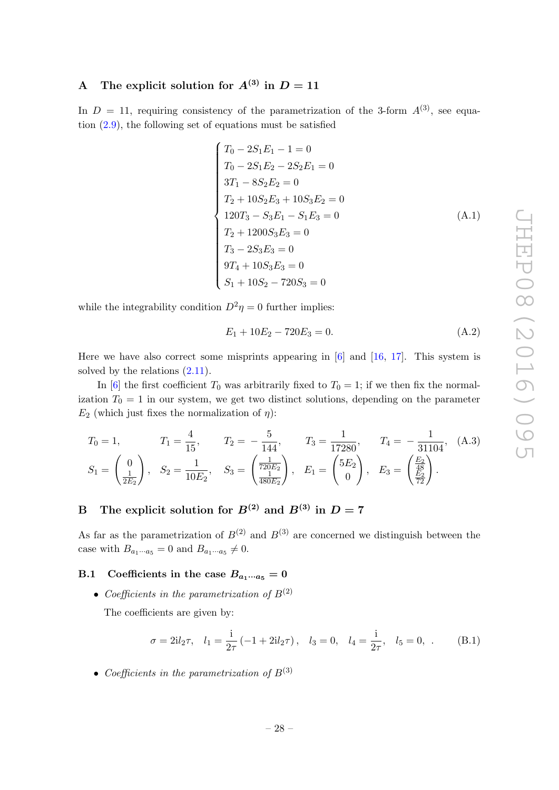## A The explicit solution for  $A^{(3)}$  in  $D = 11$

In  $D = 11$ , requiring consistency of the parametrization of the 3-form  $A^{(3)}$ , see equation  $(2.9)$ , the following set of equations must be satisfied

$$
\begin{cases}\nT_0 - 2S_1E_1 - 1 = 0 \\
T_0 - 2S_1E_2 - 2S_2E_1 = 0 \\
3T_1 - 8S_2E_2 = 0 \\
T_2 + 10S_2E_3 + 10S_3E_2 = 0 \\
120T_3 - S_3E_1 - S_1E_3 = 0 \\
T_2 + 1200S_3E_3 = 0 \\
T_3 - 2S_3E_3 = 0 \\
9T_4 + 10S_3E_3 = 0 \\
S_1 + 10S_2 - 720S_3 = 0\n\end{cases}
$$
\n(A.1)

while the integrability condition  $D^2 \eta = 0$  further implies:

$$
E_1 + 10E_2 - 720E_3 = 0. \tag{A.2}
$$

Here we have also correct some misprints appearing in  $[6]$  and  $[16, 17]$ . This system is solved by the relations  $(2.11)$ .

In [6] the first coefficient  $T_0$  was arbitrarily fixed to  $T_0 = 1$ ; if we then fix the normalization  $T_0 = 1$  in our system, we get two distinct solutions, depending on the parameter  $E_2$  (which just fixes the normalization of  $\eta$ ):

$$
T_0 = 1,
$$
  $T_1 = \frac{4}{15},$   $T_2 = -\frac{5}{144},$   $T_3 = \frac{1}{17280},$   $T_4 = -\frac{1}{31104},$  (A.3)  
\n $S_1 = \begin{pmatrix} 0 \\ \frac{1}{2E_2} \end{pmatrix},$   $S_2 = \frac{1}{10E_2},$   $S_3 = \begin{pmatrix} \frac{1}{720E_2} \\ \frac{1}{480E_2} \end{pmatrix},$   $E_1 = \begin{pmatrix} 5E_2 \\ 0 \end{pmatrix},$   $E_3 = \begin{pmatrix} \frac{E_2}{48} \\ \frac{E_2}{72} \end{pmatrix}.$ 

## B The explicit solution for  $B^{(2)}$  and  $B^{(3)}$  in  $D = 7$

As far as the parametrization of  $B^{(2)}$  and  $B^{(3)}$  are concerned we distinguish between the case with  $B_{a_1\cdots a_5} = 0$  and  $B_{a_1\cdots a_5} \neq 0$ .

#### B.1 Coefficients in the case  $B_{a_1\cdots a_5} = 0$

• Coefficients in the parametrization of  $B^{(2)}$ 

The coefficients are given by:

$$
\sigma = 2il_2\tau, \quad l_1 = \frac{i}{2\tau} \left( -1 + 2il_2\tau \right), \quad l_3 = 0, \quad l_4 = \frac{i}{2\tau}, \quad l_5 = 0, \quad (B.1)
$$

• Coefficients in the parametrization of  $B^{(3)}$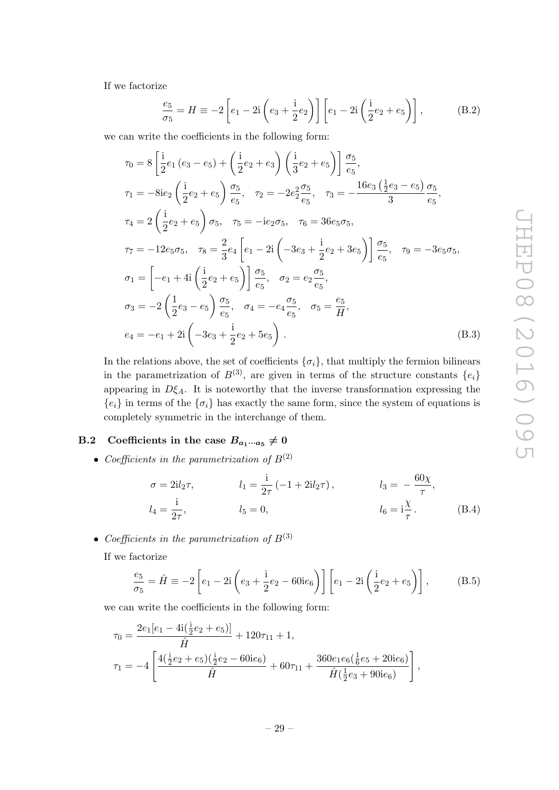If we factorize

$$
\frac{e_5}{\sigma_5} = H \equiv -2 \left[ e_1 - 2i \left( e_3 + \frac{i}{2} e_2 \right) \right] \left[ e_1 - 2i \left( \frac{i}{2} e_2 + e_5 \right) \right],
$$
 (B.2)

we can write the coefficients in the following form:

$$
\tau_0 = 8 \left[ \frac{1}{2} e_1 (e_3 - e_5) + \left( \frac{1}{2} e_2 + e_3 \right) \left( \frac{1}{3} e_2 + e_5 \right) \right] \frac{\sigma_5}{e_5},
$$
\n
$$
\tau_1 = -8ie_2 \left( \frac{1}{2} e_2 + e_5 \right) \frac{\sigma_5}{e_5}, \quad \tau_2 = -2e_2^2 \frac{\sigma_5}{e_5}, \quad \tau_3 = -\frac{16e_3 \left( \frac{1}{2} e_3 - e_5 \right)}{3} \frac{\sigma_5}{e_5},
$$
\n
$$
\tau_4 = 2 \left( \frac{1}{2} e_2 + e_5 \right) \sigma_5, \quad \tau_5 = -ie_2 \sigma_5, \quad \tau_6 = 36e_5 \sigma_5,
$$
\n
$$
\tau_7 = -12e_5 \sigma_5, \quad \tau_8 = \frac{2}{3} e_4 \left[ e_1 - 2i \left( -3e_3 + \frac{1}{2} e_2 + 3e_5 \right) \right] \frac{\sigma_5}{e_5}, \quad \tau_9 = -3e_5 \sigma_5,
$$
\n
$$
\sigma_1 = \left[ -e_1 + 4i \left( \frac{1}{2} e_2 + e_5 \right) \right] \frac{\sigma_5}{e_5}, \quad \sigma_2 = e_2 \frac{\sigma_5}{e_5},
$$
\n
$$
\sigma_3 = -2 \left( \frac{1}{2} e_3 - e_5 \right) \frac{\sigma_5}{e_5}, \quad \sigma_4 = -e_4 \frac{\sigma_5}{e_5}, \quad \sigma_5 = \frac{e_5}{H},
$$
\n
$$
e_4 = -e_1 + 2i \left( -3e_3 + \frac{1}{2} e_2 + 5e_5 \right).
$$
\n(B.3)

In the relations above, the set of coefficients  $\{\sigma_i\}$ , that multiply the fermion bilinears in the parametrization of  $B^{(3)}$ , are given in terms of the structure constants  $\{e_i\}$ appearing in  $D\xi_A$ . It is noteworthy that the inverse transformation expressing the  ${e_i}$  in terms of the  ${\sigma_i}$  has exactly the same form, since the system of equations is completely symmetric in the interchange of them.

#### B.2 Coefficients in the case  $B_{a_1\cdots a_5}\neq 0$

• Coefficients in the parametrization of  $B^{(2)}$ 

$$
\sigma = 2il_2 \tau, \qquad l_1 = \frac{i}{2\tau} \left( -1 + 2il_2 \tau \right), \qquad l_3 = -\frac{60\chi}{\tau}, l_4 = \frac{i}{2\tau}, \qquad l_5 = 0, \qquad l_6 = i\frac{\chi}{\tau}. \qquad (B.4)
$$

• Coefficients in the parametrization of  $B^{(3)}$ 

If we factorize

$$
\frac{e_5}{\sigma_5} = \hat{H} \equiv -2 \left[ e_1 - 2i \left( e_3 + \frac{i}{2} e_2 - 60 i e_6 \right) \right] \left[ e_1 - 2i \left( \frac{i}{2} e_2 + e_5 \right) \right],
$$
 (B.5)

we can write the coefficients in the following form:

$$
\tau_0 = \frac{2e_1[e_1 - 4i(\frac{1}{2}e_2 + e_5)]}{\hat{H}} + 120\tau_{11} + 1,
$$
  

$$
\tau_1 = -4\left[\frac{4(\frac{1}{2}e_2 + e_5)(\frac{1}{2}e_2 - 60ie_6)}{\hat{H}} + 60\tau_{11} + \frac{360e_1e_6(\frac{1}{6}e_5 + 20ie_6)}{\hat{H}(\frac{1}{2}e_3 + 90ie_6)}\right],
$$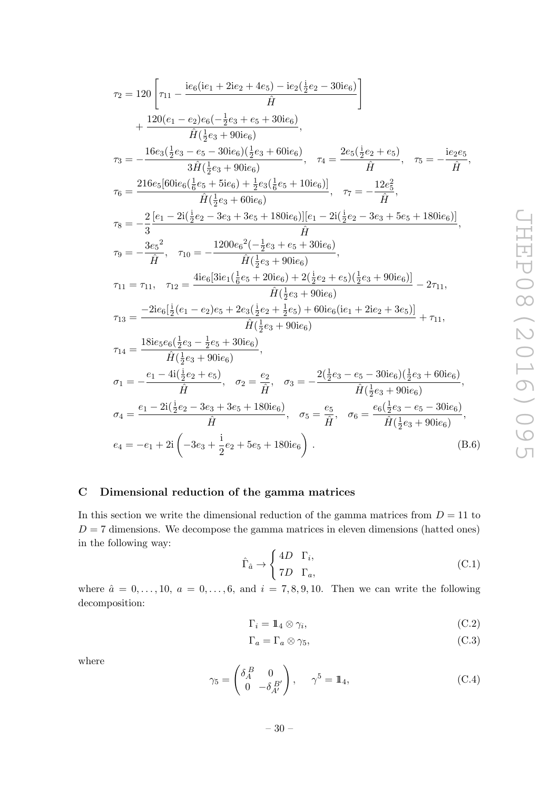$$
\begin{split} &\tau_2 = 120\left[\tau_{11}-\frac{\mathrm{i}e_6(\mathrm{i}e_1+2\mathrm{i}e_2+4e_5)-\mathrm{i}e_2(\frac{\mathrm{i}}{2}e_2-30\mathrm{i}e_6)}{\hat{H}}\right]\\ &+\frac{120(e_1-e_2)e_6(-\frac{1}{2}e_3+e_5+30\mathrm{i}e_6)}{\hat{H}(\frac{1}{2}e_3+90\mathrm{i}e_6)},\\ &\tau_3 = -\frac{16e_3(\frac{1}{2}e_3-e_5-30\mathrm{i}e_6)(\frac{1}{2}e_3+60\mathrm{i}e_6)}{3\hat{H}(\frac{1}{2}e_3+90\mathrm{i}e_6)},\quad \tau_4 = \frac{2e_5(\frac{\mathrm{i}}{2}e_2+e_5)}{\hat{H}},\quad \tau_5 = -\frac{\mathrm{i}e_2e_5}{\hat{H}},\\ &\tau_6 = \frac{216e_5[60\mathrm{i}e_6(\frac{1}{6}e_5+5\mathrm{i}e_6)+\frac{1}{2}e_3(\frac{1}{6}e_5+10\mathrm{i}e_6)]}{\hat{H}(\frac{1}{2}e_3+60\mathrm{i}e_6)},\quad \tau_7 = -\frac{12e_5^2}{\hat{H}},\\ &\tau_8 = -\frac{2}{3}\frac{[e_1-2\mathrm{i}(\frac{1}{2}e_2-3e_3+3e_5+180\mathrm{i}e_6)][e_1-2\mathrm{i}(\frac{1}{2}e_2-3e_3+5e_5+180\mathrm{i}e_6)]}{\hat{H}},\\ &\tau_9 = -\frac{3e_5^2}{\hat{H}},\quad \tau_{10} = -\frac{1200e_6^2(-\frac{1}{2}e_3+e_5+30\mathrm{i}e_6)}{\hat{H}(\frac{1}{2}e_3+90\mathrm{i}e_6)},\\ &\tau_{11} = \tau_{11},\quad \tau_{12} = \frac{4\mathrm{i}e_6[3\mathrm{i}e_1(\frac{1}{6}e_5+20\mathrm{i}e_6)+2(\frac{1}{2}e_2+e_5)(\frac{1}{2}e_3+90\mathrm{i}e_6)]}{\hat{H}(\frac{1}{2}e_3
$$

## C Dimensional reduction of the gamma matrices

In this section we write the dimensional reduction of the gamma matrices from  $D = 11$  to  $D = 7$  dimensions. We decompose the gamma matrices in eleven dimensions (hatted ones) in the following way:

$$
\hat{\Gamma}_{\hat{a}} \rightarrow \begin{cases} 4D & \Gamma_i, \\ 7D & \Gamma_a, \end{cases}
$$
 (C.1)

where  $\hat{a} = 0, \ldots, 10, a = 0, \ldots, 6,$  and  $i = 7, 8, 9, 10$ . Then we can write the following decomposition:

$$
\Gamma_i = 1 \hspace{0.2em} \downarrow \hspace{0.2em} \otimes \gamma_i, \tag{C.2}
$$

$$
\Gamma_a = \Gamma_a \otimes \gamma_5,\tag{C.3}
$$

where

$$
\gamma_5 = \begin{pmatrix} \delta_A^B & 0 \\ 0 & -\delta_{A'}^B \end{pmatrix}, \quad \gamma^5 = \mathbb{1}_4,\tag{C.4}
$$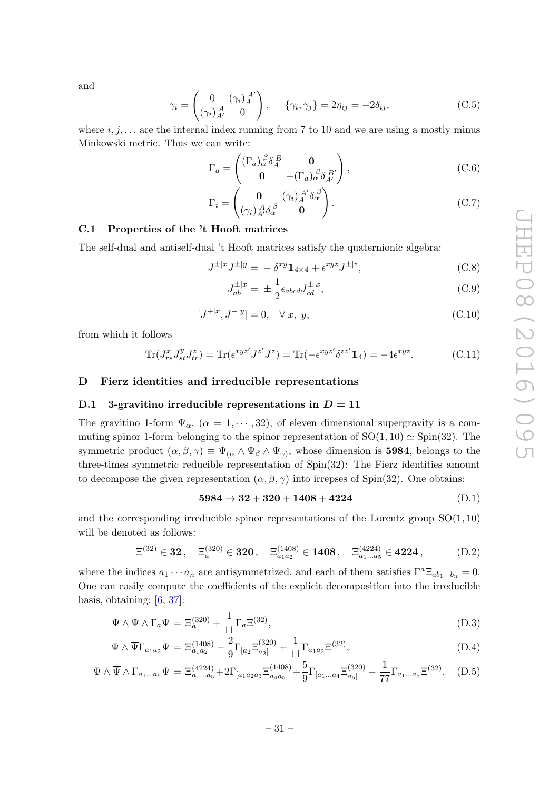and

$$
\gamma_i = \begin{pmatrix} 0 & (\gamma_i)_A^{A'} \\ (\gamma_i)_A^A & 0 \end{pmatrix}, \quad \{\gamma_i, \gamma_j\} = 2\eta_{ij} = -2\delta_{ij}, \tag{C.5}
$$

where  $i, j, \ldots$  are the internal index running from 7 to 10 and we are using a mostly minus Minkowski metric. Thus we can write:

$$
\Gamma_a = \begin{pmatrix} (\Gamma_a)_\alpha^{\ \beta} \delta_A^{\ B} & \mathbf{0} \\ \mathbf{0} & -(\Gamma_a)_\alpha^{\ \beta} \delta_{A'}^{\ B'} \end{pmatrix},\tag{C.6}
$$

$$
\Gamma_i = \begin{pmatrix} \mathbf{0} & (\gamma_i)_A^{A'} \delta_\alpha^{\ \beta} \\ (\gamma_i)_A^A \delta_\alpha^{\ \beta} & \mathbf{0} \end{pmatrix} . \tag{C.7}
$$

#### C.1 Properties of the 't Hooft matrices

The self-dual and antiself-dual 't Hooft matrices satisfy the quaternionic algebra:

$$
J^{\pm |x} J^{\pm |y} = -\delta^{xy} 1\!\!1_{4 \times 4} + \epsilon^{xyz} J^{\pm |z},\tag{C.8}
$$

$$
J_{ab}^{\pm|x} = \pm \frac{1}{2} \epsilon_{abcd} J_{cd}^{\pm|x}, \tag{C.9}
$$

$$
[J^{+|x}, J^{-|y}] = 0, \quad \forall \ x, \ y,
$$
\n(C.10)

from which it follows

$$
\operatorname{Tr}(J_{rs}^x J_{st}^y J_{tr}^z) = \operatorname{Tr}(\epsilon^{xyz'} J^{z'} J^z) = \operatorname{Tr}(-\epsilon^{xyz'} \delta^{zz'} 1\!\!1_4) = -4\epsilon^{xyz}.\tag{C.11}
$$

#### D Fierz identities and irreducible representations

#### D.1 3-gravitino irreducible representations in  $D = 11$

The gravitino 1-form  $\Psi_{\alpha}$ ,  $(\alpha = 1, \cdots, 32)$ , of eleven dimensional supergravity is a commuting spinor 1-form belonging to the spinor representation of  $SO(1, 10) \simeq Spin(32)$ . The symmetric product  $(\alpha, \beta, \gamma) \equiv \Psi_{(\alpha} \wedge \Psi_{\beta} \wedge \Psi_{\gamma})$ , whose dimension is **5984**, belongs to the three-times symmetric reducible representation of Spin(32): The Fierz identities amount to decompose the given representation  $(\alpha, \beta, \gamma)$  into irrepses of Spin(32). One obtains:

$$
5984 \to 32 + 320 + 1408 + 4224 \tag{D.1}
$$

and the corresponding irreducible spinor representations of the Lorentz group  $SO(1, 10)$ will be denoted as follows:

$$
\Xi^{(32)} \in \mathbf{32}, \quad \Xi_a^{(320)} \in \mathbf{320}, \quad \Xi_{a_1 a_2}^{(1408)} \in \mathbf{1408}, \quad \Xi_{a_1 \dots a_5}^{(4224)} \in \mathbf{4224}, \tag{D.2}
$$

where the indices  $a_1 \cdots a_n$  are antisymmetrized, and each of them satisfies  $\Gamma^a \Xi_{ab_1 \cdots b_n} = 0$ . One can easily compute the coefficients of the explicit decomposition into the irreducible basis, obtaining:  $[6, 37]$ :

$$
\Psi \wedge \overline{\Psi} \wedge \Gamma_a \Psi = \Xi_a^{(320)} + \frac{1}{11} \Gamma_a \Xi^{(32)}, \tag{D.3}
$$

$$
\Psi \wedge \overline{\Psi} \Gamma_{a_1 a_2} \Psi = \Xi_{a_1 a_2}^{(1408)} - \frac{2}{9} \Gamma_{[a_2} \Xi_{a_2]}^{(320)} + \frac{1}{11} \Gamma_{a_1 a_2} \Xi^{(32)}, \tag{D.4}
$$

$$
\Psi \wedge \overline{\Psi} \wedge \Gamma_{a_1...a_5} \Psi = \Xi_{a_1...a_5}^{(4224)} + 2\Gamma_{[a_1 a_2 a_3} \Xi_{a_4 a_5]}^{(1408)} + \frac{5}{9} \Gamma_{[a_1...a_4} \Xi_{a_5]}^{(320)} - \frac{1}{77} \Gamma_{a_1...a_5} \Xi^{(32)}.
$$
 (D.5)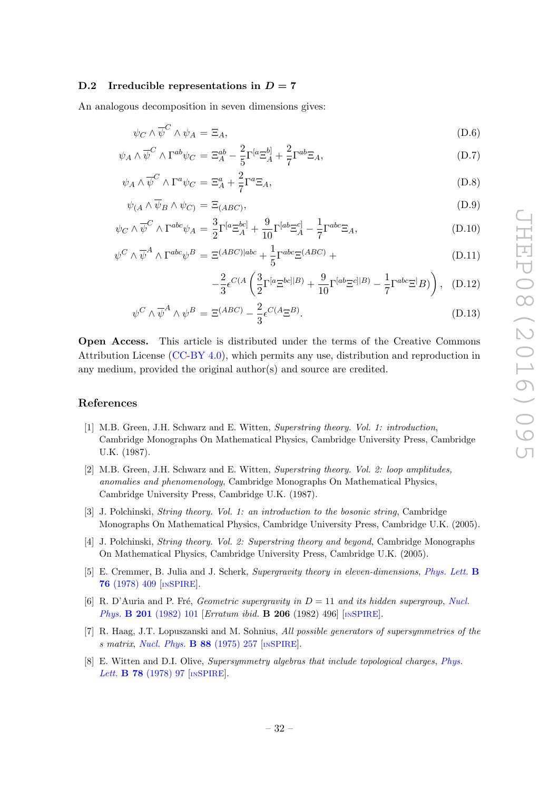#### D.2 Irreducible representations in  $D = 7$

An analogous decomposition in seven dimensions gives:

$$
\psi_C \wedge \overline{\psi}^C \wedge \psi_A = \Xi_A,\tag{D.6}
$$

$$
\psi_A \wedge \overline{\psi}^C \wedge \Gamma^{ab} \psi_C = \Xi_A^{ab} - \frac{2}{5} \Gamma^{[a} \Xi_A^{b]} + \frac{2}{7} \Gamma^{ab} \Xi_A,\tag{D.7}
$$

$$
\psi_A \wedge \overline{\psi}^C \wedge \Gamma^a \psi_C = \Xi^a_A + \frac{2}{7} \Gamma^a \Xi_A,\tag{D.8}
$$

$$
\psi_{(A} \wedge \overline{\psi}_B \wedge \psi_C) = \Xi_{(ABC)},\tag{D.9}
$$

$$
\psi_C \wedge \overline{\psi}^C \wedge \Gamma^{abc}\psi_A = \frac{3}{2}\Gamma^{[a}\Xi_A^{bc]} + \frac{9}{10}\Gamma^{[ab}\Xi_A^{c]} - \frac{1}{7}\Gamma^{abc}\Xi_A,\tag{D.10}
$$

$$
\psi^C \wedge \overline{\psi}^A \wedge \Gamma^{abc} \psi^B = \Xi^{(ABC)|abc} + \frac{1}{5} \Gamma^{abc} \Xi^{(ABC)} + \tag{D.11}
$$

$$
-\frac{2}{3}\epsilon^{C(A}\left(\frac{3}{2}\Gamma^{[a}\Xi^{bc]|B)} + \frac{9}{10}\Gamma^{[ab}\Xi^{c]|B)} - \frac{1}{7}\Gamma^{abc}\Xi^{]}B)\right), (D.12)
$$

$$
\psi^C \wedge \overline{\psi}^A \wedge \psi^B = \Xi^{(ABC)} - \frac{2}{3} \epsilon^{C(A} \Xi^B). \tag{D.13}
$$

Open Access. This article is distributed under the terms of the Creative Commons Attribution License [\(CC-BY 4.0\)](http://creativecommons.org/licenses/by/4.0/), which permits any use, distribution and reproduction in any medium, provided the original author(s) and source are credited.

#### References

- [1] M.B. Green, J.H. Schwarz and E. Witten, Superstring theory. Vol. 1: introduction, Cambridge Monographs On Mathematical Physics, Cambridge University Press, Cambridge U.K. (1987).
- [2] M.B. Green, J.H. Schwarz and E. Witten, Superstring theory. Vol. 2: loop amplitudes, anomalies and phenomenology, Cambridge Monographs On Mathematical Physics, Cambridge University Press, Cambridge U.K. (1987).
- [3] J. Polchinski, String theory. Vol. 1: an introduction to the bosonic string, Cambridge Monographs On Mathematical Physics, Cambridge University Press, Cambridge U.K. (2005).
- [4] J. Polchinski, String theory. Vol. 2: Superstring theory and beyond, Cambridge Monographs On Mathematical Physics, Cambridge University Press, Cambridge U.K. (2005).
- [5] E. Cremmer, B. Julia and J. Scherk, Supergravity theory in eleven-dimensions, [Phys. Lett.](http://dx.doi.org/10.1016/0370-2693(78)90894-8) B 76 [\(1978\) 409](http://dx.doi.org/10.1016/0370-2693(78)90894-8) [IN[SPIRE](http://inspirehep.net/search?p=find+J+%22Phys.Lett.,B76,409%22)].
- [6] R. D'Auria and P. Fré, Geometric supergravity in  $D = 11$  and its hidden supergroup, [Nucl.](http://dx.doi.org/10.1016/0550-3213(82)90376-5) Phys. **B 201** [\(1982\) 101](http://dx.doi.org/10.1016/0550-3213(82)90376-5) [Erratum ibid. **B 206** (1982) 496] [IN[SPIRE](http://inspirehep.net/search?p=find+J+%22Nucl.Phys.,B201,101%22)].
- [7] R. Haag, J.T. Lopuszanski and M. Sohnius, All possible generators of supersymmetries of the s matrix, [Nucl. Phys.](http://dx.doi.org/10.1016/0550-3213(75)90279-5) B 88 (1975) 257 [IN[SPIRE](http://inspirehep.net/search?p=find+J+%22Nucl.Phys.,B88,257%22)].
- [8] E. Witten and D.I. Olive, Supersymmetry algebras that include topological charges, [Phys.](http://dx.doi.org/10.1016/0370-2693(78)90357-X) Lett. **B 78** [\(1978\) 97](http://dx.doi.org/10.1016/0370-2693(78)90357-X) [IN[SPIRE](http://inspirehep.net/search?p=find+J+%22Phys.Lett.,B78,97%22)].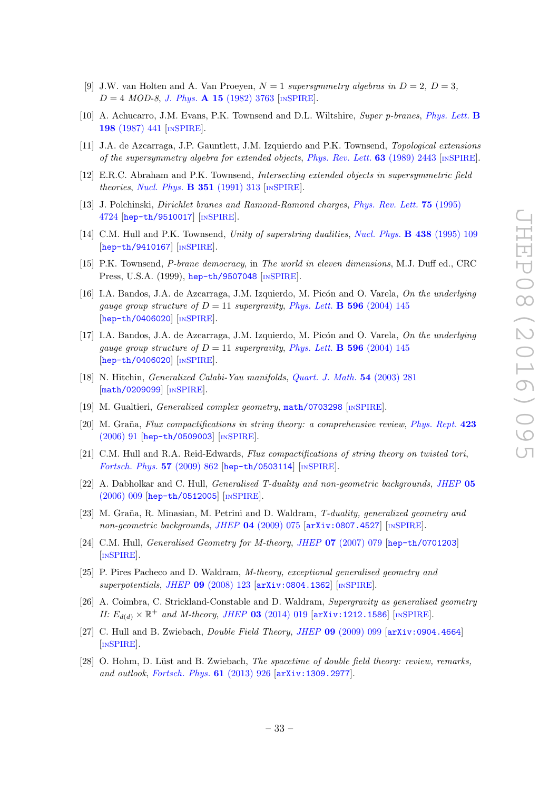- [9] J.W. van Holten and A. Van Proeyen,  $N = 1$  supersymmetry algebras in  $D = 2$ ,  $D = 3$ ,  $D = 4 \; MOD-8, J. Phys. A 15 (1982) 3763$  $D = 4 \; MOD-8, J. Phys. A 15 (1982) 3763$  [IN[SPIRE](http://inspirehep.net/search?p=find+J+%22J.Phys.,A15,3763%22)].
- [10] A. Achucarro, J.M. Evans, P.K. Townsend and D.L. Wiltshire, Super p-branes, [Phys. Lett.](http://dx.doi.org/10.1016/0370-2693(87)90896-3) B 198 [\(1987\) 441](http://dx.doi.org/10.1016/0370-2693(87)90896-3) [IN[SPIRE](http://inspirehep.net/search?p=find+J+%22Phys.Lett.,B198,441%22)].
- [11] J.A. de Azcarraga, J.P. Gauntlett, J.M. Izquierdo and P.K. Townsend, Topological extensions of the supersymmetry algebra for extended objects, [Phys. Rev. Lett.](http://dx.doi.org/10.1103/PhysRevLett.63.2443) 63 (1989) 2443 [IN[SPIRE](http://inspirehep.net/search?p=find+J+%22Phys.Rev.Lett.,63,2443%22)].
- [12] E.R.C. Abraham and P.K. Townsend, Intersecting extended objects in supersymmetric field theories, [Nucl. Phys.](http://dx.doi.org/10.1016/0550-3213(91)90093-D)  $\bf{B}$  351 (1991) 313 [IN[SPIRE](http://inspirehep.net/search?p=find+J+%22Nucl.Phys.,B351,313%22)].
- [13] J. Polchinski, Dirichlet branes and Ramond-Ramond charges, [Phys. Rev. Lett.](http://dx.doi.org/10.1103/PhysRevLett.75.4724) 75 (1995) [4724](http://dx.doi.org/10.1103/PhysRevLett.75.4724) [[hep-th/9510017](http://arxiv.org/abs/hep-th/9510017)] [IN[SPIRE](http://inspirehep.net/search?p=find+EPRINT+hep-th/9510017)].
- [14] C.M. Hull and P.K. Townsend, Unity of superstring dualities, [Nucl. Phys.](http://dx.doi.org/10.1016/0550-3213(94)00559-W) **B 438** (1995) 109 [[hep-th/9410167](http://arxiv.org/abs/hep-th/9410167)] [IN[SPIRE](http://inspirehep.net/search?p=find+EPRINT+hep-th/9410167)].
- [15] P.K. Townsend, P-brane democracy, in The world in eleven dimensions, M.J. Duff ed., CRC Press, U.S.A. (1999), [hep-th/9507048](http://arxiv.org/abs/hep-th/9507048) [IN[SPIRE](http://inspirehep.net/search?p=find+EPRINT+hep-th/9507048)].
- [16] I.A. Bandos, J.A. de Azcarraga, J.M. Izquierdo, M. Picón and O. Varela, On the underlying gauge group structure of  $D = 11$  supergravity, *[Phys. Lett.](http://dx.doi.org/10.1016/j.physletb.2004.06.079)* **B** 596 (2004) 145 [[hep-th/0406020](http://arxiv.org/abs/hep-th/0406020)] [IN[SPIRE](http://inspirehep.net/search?p=find+J+%22Phys.Lett.,B596,145%22)].
- [17] I.A. Bandos, J.A. de Azcarraga, J.M. Izquierdo, M. Picón and O. Varela, On the underlying gauge group structure of  $D = 11$  supergravity, *[Phys. Lett.](http://dx.doi.org/10.1016/j.physletb.2004.06.079)* **B 596** (2004) 145 [[hep-th/0406020](http://arxiv.org/abs/hep-th/0406020)] [IN[SPIRE](http://inspirehep.net/search?p=find+EPRINT+hep-th/0406020)].
- [18] N. Hitchin, Generalized Calabi-Yau manifolds, [Quart. J. Math.](http://dx.doi.org/10.1093/qjmath/54.3.281) 54 (2003) 281 [[math/0209099](http://arxiv.org/abs/math/0209099)] [IN[SPIRE](http://inspirehep.net/search?p=find+EPRINT+math/0209099)].
- [19] M. Gualtieri, *Generalized complex geometry*, [math/0703298](http://arxiv.org/abs/math/0703298) [IN[SPIRE](http://inspirehep.net/search?p=find+EPRINT+math/0703298)].
- [20] M. Graña, Flux compactifications in string theory: a comprehensive review, [Phys. Rept.](http://dx.doi.org/10.1016/j.physrep.2005.10.008) 423 [\(2006\) 91](http://dx.doi.org/10.1016/j.physrep.2005.10.008) [[hep-th/0509003](http://arxiv.org/abs/hep-th/0509003)] [IN[SPIRE](http://inspirehep.net/search?p=find+EPRINT+hep-th/0509003)].
- [21] C.M. Hull and R.A. Reid-Edwards, Flux compactifications of string theory on twisted tori, [Fortsch. Phys.](http://dx.doi.org/10.1002/prop.200900076) 57 (2009) 862 [[hep-th/0503114](http://arxiv.org/abs/hep-th/0503114)] [IN[SPIRE](http://inspirehep.net/search?p=find+EPRINT+hep-th/0503114)].
- [22] A. Dabholkar and C. Hull, Generalised T-duality and non-geometric backgrounds, [JHEP](http://dx.doi.org/10.1088/1126-6708/2006/05/009) 05 [\(2006\) 009](http://dx.doi.org/10.1088/1126-6708/2006/05/009) [[hep-th/0512005](http://arxiv.org/abs/hep-th/0512005)] [IN[SPIRE](http://inspirehep.net/search?p=find+EPRINT+hep-th/0512005)].
- [23] M. Graña, R. Minasian, M. Petrini and D. Waldram, T-duality, generalized geometry and non-geometric backgrounds, JHEP  $04$  [\(2009\) 075](http://dx.doi.org/10.1088/1126-6708/2009/04/075) [[arXiv:0807.4527](http://arxiv.org/abs/0807.4527)] [IN[SPIRE](http://inspirehep.net/search?p=find+EPRINT+arXiv:0807.4527)].
- [24] C.M. Hull, Generalised Geometry for M-theory, JHEP 07 [\(2007\) 079](http://dx.doi.org/10.1088/1126-6708/2007/07/079) [[hep-th/0701203](http://arxiv.org/abs/hep-th/0701203)] [IN[SPIRE](http://inspirehep.net/search?p=find+EPRINT+hep-th/0701203)].
- [25] P. Pires Pacheco and D. Waldram, M-theory, exceptional generalised geometry and superpotentials, JHEP 09 [\(2008\) 123](http://dx.doi.org/10.1088/1126-6708/2008/09/123) [[arXiv:0804.1362](http://arxiv.org/abs/0804.1362)] [IN[SPIRE](http://inspirehep.net/search?p=find+EPRINT+arXiv:0804.1362)].
- [26] A. Coimbra, C. Strickland-Constable and D. Waldram, Supergravity as generalised geometry II:  $E_{d(d)} \times \mathbb{R}^+$  and M-theory, JHEP 03 [\(2014\) 019](http://dx.doi.org/10.1007/JHEP03(2014)019) [[arXiv:1212.1586](http://arxiv.org/abs/1212.1586)] [IN[SPIRE](http://inspirehep.net/search?p=find+EPRINT+arXiv:1212.1586)].
- [27] C. Hull and B. Zwiebach, *Double Field Theory, JHEP* 09 [\(2009\) 099](http://dx.doi.org/10.1088/1126-6708/2009/09/099) [[arXiv:0904.4664](http://arxiv.org/abs/0904.4664)] [IN[SPIRE](http://inspirehep.net/search?p=find+EPRINT+arXiv:0904.4664)].
- [28] O. Hohm, D. Lüst and B. Zwiebach, *The spacetime of double field theory: review, remarks,* and outlook, [Fortsch. Phys.](http://dx.doi.org/10.1002/prop.201300024) **61** (2013) 926  $\text{arXiv:1309.2977}$  $\text{arXiv:1309.2977}$  $\text{arXiv:1309.2977}$ .